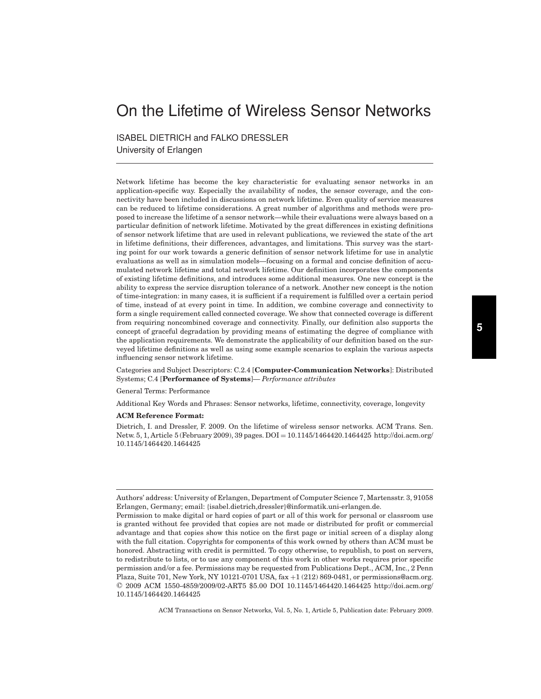# On the Lifetime of Wireless Sensor Networks

ISABEL DIETRICH and FALKO DRESSLER University of Erlangen

Network lifetime has become the key characteristic for evaluating sensor networks in an application-specific way. Especially the availability of nodes, the sensor coverage, and the connectivity have been included in discussions on network lifetime. Even quality of service measures can be reduced to lifetime considerations. A great number of algorithms and methods were proposed to increase the lifetime of a sensor network—while their evaluations were always based on a particular definition of network lifetime. Motivated by the great differences in existing definitions of sensor network lifetime that are used in relevant publications, we reviewed the state of the art in lifetime definitions, their differences, advantages, and limitations. This survey was the starting point for our work towards a generic definition of sensor network lifetime for use in analytic evaluations as well as in simulation models—focusing on a formal and concise definition of accumulated network lifetime and total network lifetime. Our definition incorporates the components of existing lifetime definitions, and introduces some additional measures. One new concept is the ability to express the service disruption tolerance of a network. Another new concept is the notion of time-integration: in many cases, it is sufficient if a requirement is fulfilled over a certain period of time, instead of at every point in time. In addition, we combine coverage and connectivity to form a single requirement called connected coverage. We show that connected coverage is different from requiring noncombined coverage and connectivity. Finally, our definition also supports the concept of graceful degradation by providing means of estimating the degree of compliance with the application requirements. We demonstrate the applicability of our definition based on the surveyed lifetime definitions as well as using some example scenarios to explain the various aspects influencing sensor network lifetime.

Categories and Subject Descriptors: C.2.4 [**Computer-Communication Networks**]: Distributed Systems; C.4 [**Performance of Systems**]— *Performance attributes*

General Terms: Performance

Additional Key Words and Phrases: Sensor networks, lifetime, connectivity, coverage, longevity

#### **ACM Reference Format:**

Dietrich, I. and Dressler, F. 2009. On the lifetime of wireless sensor networks. ACM Trans. Sen. Netw. 5, 1, Article 5 (February 2009), 39 pages. DOI = 10.1145/1464420.1464425 http://doi.acm.org/ 10.1145/1464420.1464425

Authors' address: University of Erlangen, Department of Computer Science 7, Martensstr. 3, 91058 Erlangen, Germany; email: {isabel.dietrich,dressler}@informatik.uni-erlangen.de.

Permission to make digital or hard copies of part or all of this work for personal or classroom use is granted without fee provided that copies are not made or distributed for profit or commercial advantage and that copies show this notice on the first page or initial screen of a display along with the full citation. Copyrights for components of this work owned by others than ACM must be honored. Abstracting with credit is permitted. To copy otherwise, to republish, to post on servers, to redistribute to lists, or to use any component of this work in other works requires prior specific permission and/or a fee. Permissions may be requested from Publications Dept., ACM, Inc., 2 Penn Plaza, Suite 701, New York, NY 10121-0701 USA, fax +1 (212) 869-0481, or permissions@acm.org. © 2009 ACM 1550-4859/2009/02-ART5 \$5.00 DOI 10.1145/1464420.1464425 http://doi.acm.org/ 10.1145/1464420.1464425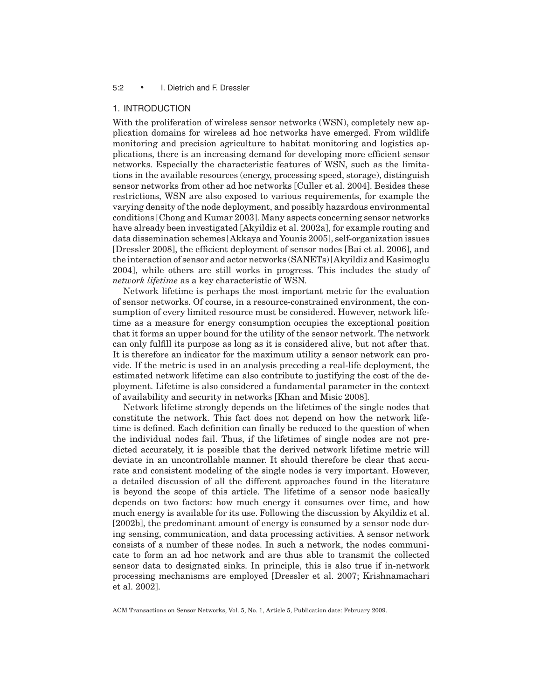## 5:2 • I. Dietrich and F. Dressler

# 1. INTRODUCTION

With the proliferation of wireless sensor networks (WSN), completely new application domains for wireless ad hoc networks have emerged. From wildlife monitoring and precision agriculture to habitat monitoring and logistics applications, there is an increasing demand for developing more efficient sensor networks. Especially the characteristic features of WSN, such as the limitations in the available resources (energy, processing speed, storage), distinguish sensor networks from other ad hoc networks [Culler et al. 2004]. Besides these restrictions, WSN are also exposed to various requirements, for example the varying density of the node deployment, and possibly hazardous environmental conditions [Chong and Kumar 2003]. Many aspects concerning sensor networks have already been investigated [Akyildiz et al. 2002a], for example routing and data dissemination schemes [Akkaya and Younis 2005], self-organization issues [Dressler 2008], the efficient deployment of sensor nodes [Bai et al. 2006], and the interaction of sensor and actor networks (SANETs) [Akyildiz and Kasimoglu 2004], while others are still works in progress. This includes the study of *network lifetime* as a key characteristic of WSN.

Network lifetime is perhaps the most important metric for the evaluation of sensor networks. Of course, in a resource-constrained environment, the consumption of every limited resource must be considered. However, network lifetime as a measure for energy consumption occupies the exceptional position that it forms an upper bound for the utility of the sensor network. The network can only fulfill its purpose as long as it is considered alive, but not after that. It is therefore an indicator for the maximum utility a sensor network can provide. If the metric is used in an analysis preceding a real-life deployment, the estimated network lifetime can also contribute to justifying the cost of the deployment. Lifetime is also considered a fundamental parameter in the context of availability and security in networks [Khan and Misic 2008].

Network lifetime strongly depends on the lifetimes of the single nodes that constitute the network. This fact does not depend on how the network lifetime is defined. Each definition can finally be reduced to the question of when the individual nodes fail. Thus, if the lifetimes of single nodes are not predicted accurately, it is possible that the derived network lifetime metric will deviate in an uncontrollable manner. It should therefore be clear that accurate and consistent modeling of the single nodes is very important. However, a detailed discussion of all the different approaches found in the literature is beyond the scope of this article. The lifetime of a sensor node basically depends on two factors: how much energy it consumes over time, and how much energy is available for its use. Following the discussion by Akyildiz et al. [2002b], the predominant amount of energy is consumed by a sensor node during sensing, communication, and data processing activities. A sensor network consists of a number of these nodes. In such a network, the nodes communicate to form an ad hoc network and are thus able to transmit the collected sensor data to designated sinks. In principle, this is also true if in-network processing mechanisms are employed [Dressler et al. 2007; Krishnamachari et al. 2002].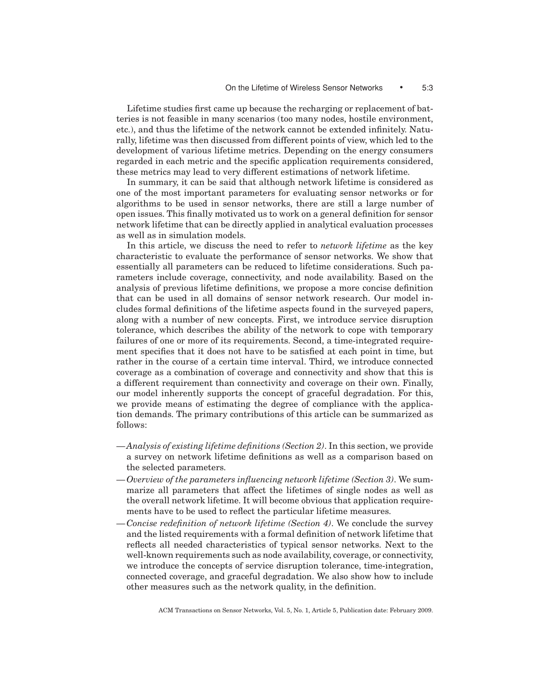Lifetime studies first came up because the recharging or replacement of batteries is not feasible in many scenarios (too many nodes, hostile environment, etc.), and thus the lifetime of the network cannot be extended infinitely. Naturally, lifetime was then discussed from different points of view, which led to the development of various lifetime metrics. Depending on the energy consumers regarded in each metric and the specific application requirements considered, these metrics may lead to very different estimations of network lifetime.

In summary, it can be said that although network lifetime is considered as one of the most important parameters for evaluating sensor networks or for algorithms to be used in sensor networks, there are still a large number of open issues. This finally motivated us to work on a general definition for sensor network lifetime that can be directly applied in analytical evaluation processes as well as in simulation models.

In this article, we discuss the need to refer to *network lifetime* as the key characteristic to evaluate the performance of sensor networks. We show that essentially all parameters can be reduced to lifetime considerations. Such parameters include coverage, connectivity, and node availability. Based on the analysis of previous lifetime definitions, we propose a more concise definition that can be used in all domains of sensor network research. Our model includes formal definitions of the lifetime aspects found in the surveyed papers, along with a number of new concepts. First, we introduce service disruption tolerance, which describes the ability of the network to cope with temporary failures of one or more of its requirements. Second, a time-integrated requirement specifies that it does not have to be satisfied at each point in time, but rather in the course of a certain time interval. Third, we introduce connected coverage as a combination of coverage and connectivity and show that this is a different requirement than connectivity and coverage on their own. Finally, our model inherently supports the concept of graceful degradation. For this, we provide means of estimating the degree of compliance with the application demands. The primary contributions of this article can be summarized as follows:

- —*Analysis of existing lifetime definitions (Section 2)*. In this section, we provide a survey on network lifetime definitions as well as a comparison based on the selected parameters.
- —*Overview of the parameters influencing network lifetime (Section 3)*. We summarize all parameters that affect the lifetimes of single nodes as well as the overall network lifetime. It will become obvious that application requirements have to be used to reflect the particular lifetime measures.
- —*Concise redefinition of network lifetime (Section 4)*. We conclude the survey and the listed requirements with a formal definition of network lifetime that reflects all needed characteristics of typical sensor networks. Next to the well-known requirements such as node availability, coverage, or connectivity, we introduce the concepts of service disruption tolerance, time-integration, connected coverage, and graceful degradation. We also show how to include other measures such as the network quality, in the definition.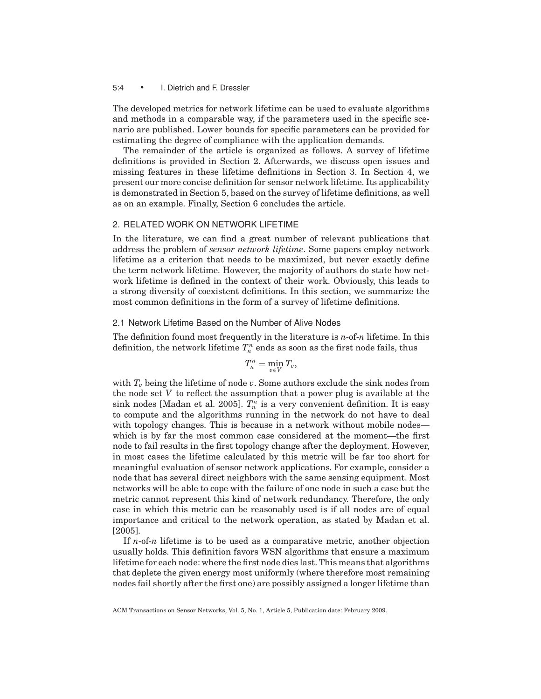## 5:4 • I. Dietrich and F. Dressler

The developed metrics for network lifetime can be used to evaluate algorithms and methods in a comparable way, if the parameters used in the specific scenario are published. Lower bounds for specific parameters can be provided for estimating the degree of compliance with the application demands.

The remainder of the article is organized as follows. A survey of lifetime definitions is provided in Section 2. Afterwards, we discuss open issues and missing features in these lifetime definitions in Section 3. In Section 4, we present our more concise definition for sensor network lifetime. Its applicability is demonstrated in Section 5, based on the survey of lifetime definitions, as well as on an example. Finally, Section 6 concludes the article.

# 2. RELATED WORK ON NETWORK LIFETIME

In the literature, we can find a great number of relevant publications that address the problem of *sensor network lifetime*. Some papers employ network lifetime as a criterion that needs to be maximized, but never exactly define the term network lifetime. However, the majority of authors do state how network lifetime is defined in the context of their work. Obviously, this leads to a strong diversity of coexistent definitions. In this section, we summarize the most common definitions in the form of a survey of lifetime definitions.

#### 2.1 Network Lifetime Based on the Number of Alive Nodes

The definition found most frequently in the literature is *n*-of-*n* lifetime. In this definition, the network lifetime  $T_n^n$  ends as soon as the first node fails, thus

$$
T_n^n=\min_{v\in V} T_v,
$$

with  $T_v$  being the lifetime of node  $v$ . Some authors exclude the sink nodes from the node set *V* to reflect the assumption that a power plug is available at the sink nodes [Madan et al. 2005].  $T_n^n$  is a very convenient definition. It is easy to compute and the algorithms running in the network do not have to deal with topology changes. This is because in a network without mobile nodes which is by far the most common case considered at the moment—the first node to fail results in the first topology change after the deployment. However, in most cases the lifetime calculated by this metric will be far too short for meaningful evaluation of sensor network applications. For example, consider a node that has several direct neighbors with the same sensing equipment. Most networks will be able to cope with the failure of one node in such a case but the metric cannot represent this kind of network redundancy. Therefore, the only case in which this metric can be reasonably used is if all nodes are of equal importance and critical to the network operation, as stated by Madan et al. [2005].

If *n*-of-*n* lifetime is to be used as a comparative metric, another objection usually holds. This definition favors WSN algorithms that ensure a maximum lifetime for each node: where the first node dies last. This means that algorithms that deplete the given energy most uniformly (where therefore most remaining nodes fail shortly after the first one) are possibly assigned a longer lifetime than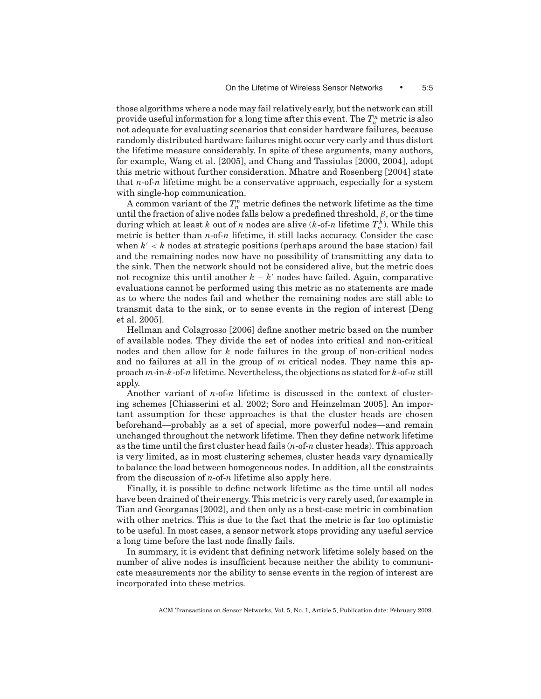those algorithms where a node may fail relatively early, but the network can still provide useful information for a long time after this event. The  $T_{n}^{n}$  metric is also not adequate for evaluating scenarios that consider hardware failures, because randomly distributed hardware failures might occur very early and thus distort the lifetime measure considerably. In spite of these arguments, many authors, for example, Wang et al. [2005], and Chang and Tassiulas [2000, 2004], adopt this metric without further consideration. Mhatre and Rosenberg [2004] state that *n*-of-*n* lifetime might be a conservative approach, especially for a system with single-hop communication.

A common variant of the  $T_n^n$  metric defines the network lifetime as the time until the fraction of alive nodes falls below a predefined threshold,  $\beta$ , or the time during which at least *k* out of *n* nodes are alive (*k*-of-*n* lifetime  $T_n^k$ ). While this metric is better than *n*-of-*n* lifetime, it still lacks accuracy. Consider the case when  $k' < k$  nodes at strategic positions (perhaps around the base station) fail and the remaining nodes now have no possibility of transmitting any data to the sink. Then the network should not be considered alive, but the metric does not recognize this until another  $k - k'$  nodes have failed. Again, comparative evaluations cannot be performed using this metric as no statements are made as to where the nodes fail and whether the remaining nodes are still able to transmit data to the sink, or to sense events in the region of interest [Deng et al. 2005].

Hellman and Colagrosso [2006] define another metric based on the number of available nodes. They divide the set of nodes into critical and non-critical nodes and then allow for *k* node failures in the group of non-critical nodes and no failures at all in the group of *m* critical nodes. They name this approach *m*-in-*k*-of-*n* lifetime. Nevertheless, the objections as stated for *k*-of-*n* still apply.

Another variant of *n*-of-*n* lifetime is discussed in the context of clustering schemes [Chiasserini et al. 2002; Soro and Heinzelman 2005]. An important assumption for these approaches is that the cluster heads are chosen beforehand—probably as a set of special, more powerful nodes—and remain unchanged throughout the network lifetime. Then they define network lifetime as the time until the first cluster head fails (*n*-of-*n* cluster heads). This approach is very limited, as in most clustering schemes, cluster heads vary dynamically to balance the load between homogeneous nodes. In addition, all the constraints from the discussion of *n*-of-*n* lifetime also apply here.

Finally, it is possible to define network lifetime as the time until all nodes have been drained of their energy. This metric is very rarely used, for example in Tian and Georganas [2002], and then only as a best-case metric in combination with other metrics. This is due to the fact that the metric is far too optimistic to be useful. In most cases, a sensor network stops providing any useful service a long time before the last node finally fails.

In summary, it is evident that defining network lifetime solely based on the number of alive nodes is insufficient because neither the ability to communicate measurements nor the ability to sense events in the region of interest are incorporated into these metrics.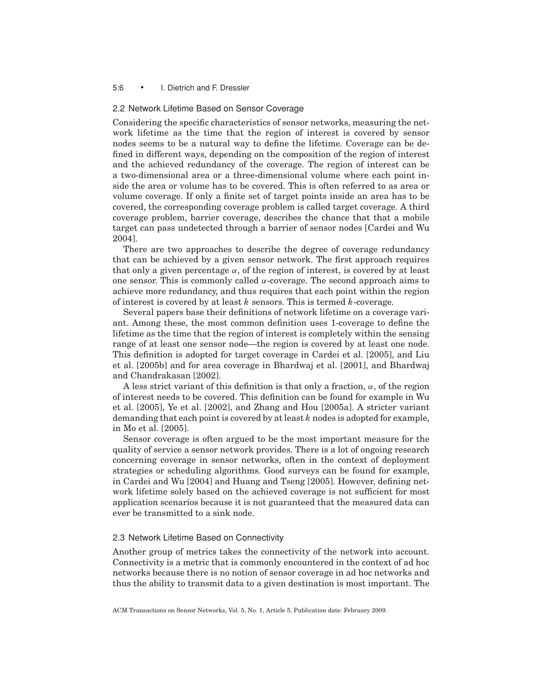## 5:6 • I. Dietrich and F. Dressler

# 2.2 Network Lifetime Based on Sensor Coverage

Considering the specific characteristics of sensor networks, measuring the network lifetime as the time that the region of interest is covered by sensor nodes seems to be a natural way to define the lifetime. Coverage can be defined in different ways, depending on the composition of the region of interest and the achieved redundancy of the coverage. The region of interest can be a two-dimensional area or a three-dimensional volume where each point inside the area or volume has to be covered. This is often referred to as area or volume coverage. If only a finite set of target points inside an area has to be covered, the corresponding coverage problem is called target coverage. A third coverage problem, barrier coverage, describes the chance that that a mobile target can pass undetected through a barrier of sensor nodes [Cardei and Wu 2004].

There are two approaches to describe the degree of coverage redundancy that can be achieved by a given sensor network. The first approach requires that only a given percentage  $\alpha$ , of the region of interest, is covered by at least one sensor. This is commonly called  $\alpha$ -coverage. The second approach aims to achieve more redundancy, and thus requires that each point within the region of interest is covered by at least *k* sensors. This is termed *k*-coverage.

Several papers base their definitions of network lifetime on a coverage variant. Among these, the most common definition uses 1-coverage to define the lifetime as the time that the region of interest is completely within the sensing range of at least one sensor node—the region is covered by at least one node. This definition is adopted for target coverage in Cardei et al. [2005], and Liu et al. [2005b] and for area coverage in Bhardwaj et al. [2001], and Bhardwaj and Chandrakasan [2002].

A less strict variant of this definition is that only a fraction,  $\alpha$ , of the region of interest needs to be covered. This definition can be found for example in Wu et al. [2005], Ye et al. [2002], and Zhang and Hou [2005a]. A stricter variant demanding that each point is covered by at least *k* nodes is adopted for example, in Mo et al. [2005].

Sensor coverage is often argued to be the most important measure for the quality of service a sensor network provides. There is a lot of ongoing research concerning coverage in sensor networks, often in the context of deployment strategies or scheduling algorithms. Good surveys can be found for example, in Cardei and Wu [2004] and Huang and Tseng [2005]. However, defining network lifetime solely based on the achieved coverage is not sufficient for most application scenarios because it is not guaranteed that the measured data can ever be transmitted to a sink node.

# 2.3 Network Lifetime Based on Connectivity

Another group of metrics takes the connectivity of the network into account. Connectivity is a metric that is commonly encountered in the context of ad hoc networks because there is no notion of sensor coverage in ad hoc networks and thus the ability to transmit data to a given destination is most important. The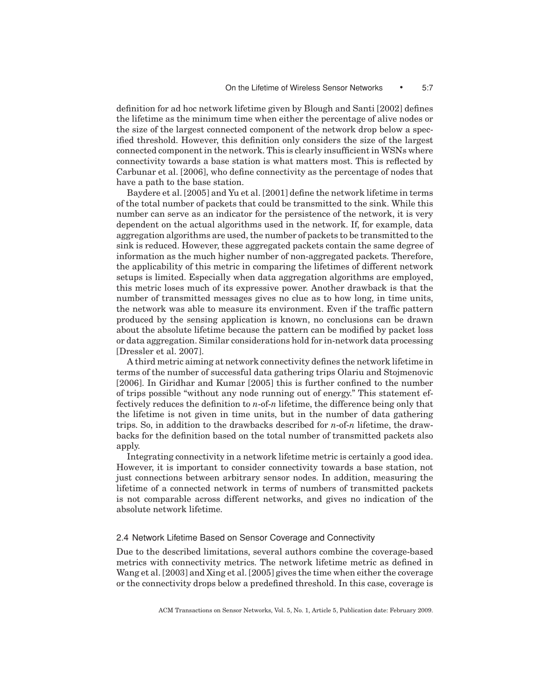definition for ad hoc network lifetime given by Blough and Santi [2002] defines the lifetime as the minimum time when either the percentage of alive nodes or the size of the largest connected component of the network drop below a specified threshold. However, this definition only considers the size of the largest connected component in the network. This is clearly insufficient in WSNs where connectivity towards a base station is what matters most. This is reflected by Carbunar et al. [2006], who define connectivity as the percentage of nodes that have a path to the base station.

Baydere et al. [2005] and Yu et al. [2001] define the network lifetime in terms of the total number of packets that could be transmitted to the sink. While this number can serve as an indicator for the persistence of the network, it is very dependent on the actual algorithms used in the network. If, for example, data aggregation algorithms are used, the number of packets to be transmitted to the sink is reduced. However, these aggregated packets contain the same degree of information as the much higher number of non-aggregated packets. Therefore, the applicability of this metric in comparing the lifetimes of different network setups is limited. Especially when data aggregation algorithms are employed, this metric loses much of its expressive power. Another drawback is that the number of transmitted messages gives no clue as to how long, in time units, the network was able to measure its environment. Even if the traffic pattern produced by the sensing application is known, no conclusions can be drawn about the absolute lifetime because the pattern can be modified by packet loss or data aggregation. Similar considerations hold for in-network data processing [Dressler et al. 2007].

A third metric aiming at network connectivity defines the network lifetime in terms of the number of successful data gathering trips Olariu and Stojmenovic [2006]. In Giridhar and Kumar [2005] this is further confined to the number of trips possible "without any node running out of energy." This statement effectively reduces the definition to *n*-of-*n* lifetime, the difference being only that the lifetime is not given in time units, but in the number of data gathering trips. So, in addition to the drawbacks described for *n*-of-*n* lifetime, the drawbacks for the definition based on the total number of transmitted packets also apply.

Integrating connectivity in a network lifetime metric is certainly a good idea. However, it is important to consider connectivity towards a base station, not just connections between arbitrary sensor nodes. In addition, measuring the lifetime of a connected network in terms of numbers of transmitted packets is not comparable across different networks, and gives no indication of the absolute network lifetime.

# 2.4 Network Lifetime Based on Sensor Coverage and Connectivity

Due to the described limitations, several authors combine the coverage-based metrics with connectivity metrics. The network lifetime metric as defined in Wang et al. [2003] and Xing et al. [2005] gives the time when either the coverage or the connectivity drops below a predefined threshold. In this case, coverage is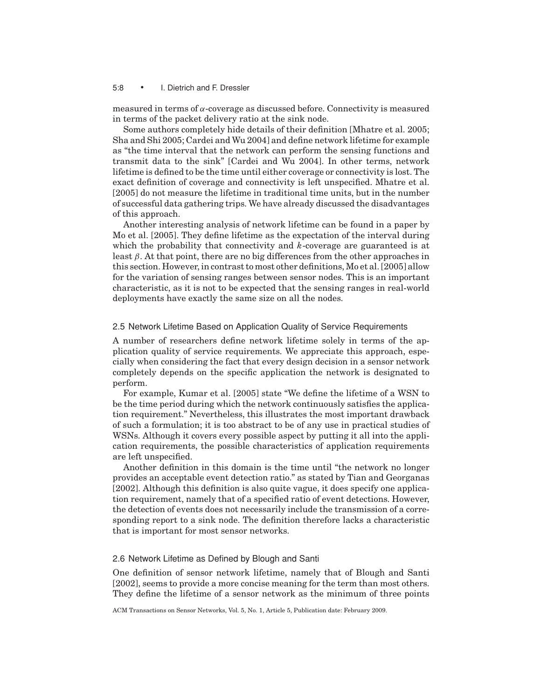#### 5:8 • I. Dietrich and F. Dressler

measured in terms of  $\alpha$ -coverage as discussed before. Connectivity is measured in terms of the packet delivery ratio at the sink node.

Some authors completely hide details of their definition [Mhatre et al. 2005; Sha and Shi 2005; Cardei and Wu 2004] and define network lifetime for example as "the time interval that the network can perform the sensing functions and transmit data to the sink" [Cardei and Wu 2004]. In other terms, network lifetime is defined to be the time until either coverage or connectivity is lost. The exact definition of coverage and connectivity is left unspecified. Mhatre et al. [2005] do not measure the lifetime in traditional time units, but in the number of successful data gathering trips. We have already discussed the disadvantages of this approach.

Another interesting analysis of network lifetime can be found in a paper by Mo et al. [2005]. They define lifetime as the expectation of the interval during which the probability that connectivity and *k*-coverage are guaranteed is at least  $\beta$ . At that point, there are no big differences from the other approaches in this section. However, in contrast to most other definitions, Mo et al. [2005] allow for the variation of sensing ranges between sensor nodes. This is an important characteristic, as it is not to be expected that the sensing ranges in real-world deployments have exactly the same size on all the nodes.

# 2.5 Network Lifetime Based on Application Quality of Service Requirements

A number of researchers define network lifetime solely in terms of the application quality of service requirements. We appreciate this approach, especially when considering the fact that every design decision in a sensor network completely depends on the specific application the network is designated to perform.

For example, Kumar et al. [2005] state "We define the lifetime of a WSN to be the time period during which the network continuously satisfies the application requirement." Nevertheless, this illustrates the most important drawback of such a formulation; it is too abstract to be of any use in practical studies of WSNs. Although it covers every possible aspect by putting it all into the application requirements, the possible characteristics of application requirements are left unspecified.

Another definition in this domain is the time until "the network no longer provides an acceptable event detection ratio." as stated by Tian and Georganas [2002]. Although this definition is also quite vague, it does specify one application requirement, namely that of a specified ratio of event detections. However, the detection of events does not necessarily include the transmission of a corresponding report to a sink node. The definition therefore lacks a characteristic that is important for most sensor networks.

## 2.6 Network Lifetime as Defined by Blough and Santi

One definition of sensor network lifetime, namely that of Blough and Santi [2002], seems to provide a more concise meaning for the term than most others. They define the lifetime of a sensor network as the minimum of three points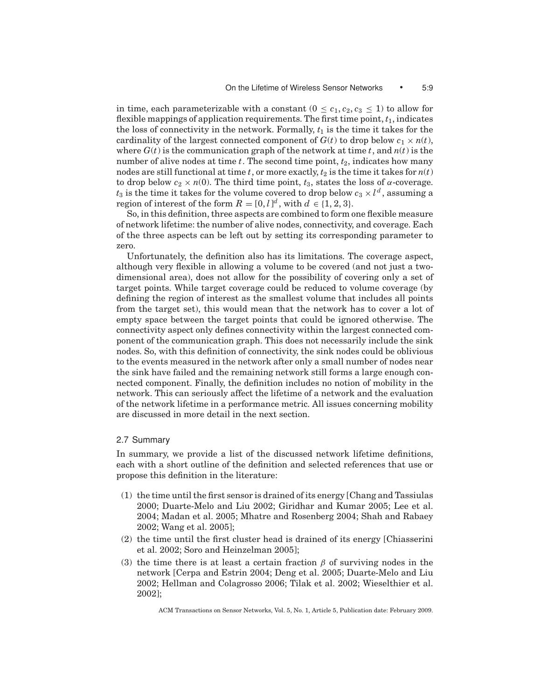in time, each parameterizable with a constant  $(0 \leq c_1, c_2, c_3 \leq 1)$  to allow for flexible mappings of application requirements. The first time point, *t*1, indicates the loss of connectivity in the network. Formally,  $t_1$  is the time it takes for the cardinality of the largest connected component of  $G(t)$  to drop below  $c_1 \times n(t)$ , where  $G(t)$  is the communication graph of the network at time  $t$ , and  $n(t)$  is the number of alive nodes at time *t*. The second time point, *t*2, indicates how many nodes are still functional at time *t*, or more exactly,  $t_2$  is the time it takes for  $n(t)$ to drop below  $c_2 \times n(0)$ . The third time point,  $t_3$ , states the loss of  $\alpha$ -coverage.  $t_3$  is the time it takes for the volume covered to drop below  $c_3 \times l^d$ , assuming a region of interest of the form  $R = [0, l]^d$ , with  $d \in \{1, 2, 3\}$ .

So, in this definition, three aspects are combined to form one flexible measure of network lifetime: the number of alive nodes, connectivity, and coverage. Each of the three aspects can be left out by setting its corresponding parameter to zero.

Unfortunately, the definition also has its limitations. The coverage aspect, although very flexible in allowing a volume to be covered (and not just a twodimensional area), does not allow for the possibility of covering only a set of target points. While target coverage could be reduced to volume coverage (by defining the region of interest as the smallest volume that includes all points from the target set), this would mean that the network has to cover a lot of empty space between the target points that could be ignored otherwise. The connectivity aspect only defines connectivity within the largest connected component of the communication graph. This does not necessarily include the sink nodes. So, with this definition of connectivity, the sink nodes could be oblivious to the events measured in the network after only a small number of nodes near the sink have failed and the remaining network still forms a large enough connected component. Finally, the definition includes no notion of mobility in the network. This can seriously affect the lifetime of a network and the evaluation of the network lifetime in a performance metric. All issues concerning mobility are discussed in more detail in the next section.

## 2.7 Summary

In summary, we provide a list of the discussed network lifetime definitions, each with a short outline of the definition and selected references that use or propose this definition in the literature:

- (1) the time until the first sensor is drained of its energy [Chang and Tassiulas 2000; Duarte-Melo and Liu 2002; Giridhar and Kumar 2005; Lee et al. 2004; Madan et al. 2005; Mhatre and Rosenberg 2004; Shah and Rabaey 2002; Wang et al. 2005];
- (2) the time until the first cluster head is drained of its energy [Chiasserini et al. 2002; Soro and Heinzelman 2005];
- (3) the time there is at least a certain fraction  $\beta$  of surviving nodes in the network [Cerpa and Estrin 2004; Deng et al. 2005; Duarte-Melo and Liu 2002; Hellman and Colagrosso 2006; Tilak et al. 2002; Wieselthier et al. 2002];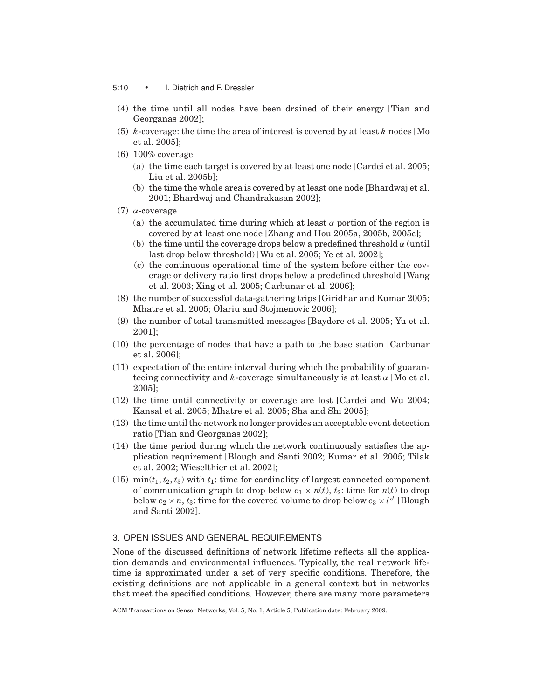#### 5:10 • I. Dietrich and F. Dressler

- (4) the time until all nodes have been drained of their energy [Tian and Georganas 2002];
- (5) *k*-coverage: the time the area of interest is covered by at least *k* nodes [Mo et al. 2005];
- (6) 100% coverage
	- (a) the time each target is covered by at least one node [Cardei et al. 2005; Liu et al. 2005b];
	- (b) the time the whole area is covered by at least one node [Bhardwaj et al. 2001; Bhardwaj and Chandrakasan 2002];
- (7) α-coverage
	- (a) the accumulated time during which at least  $\alpha$  portion of the region is covered by at least one node [Zhang and Hou 2005a, 2005b, 2005c];
	- (b) the time until the coverage drops below a predefined threshold  $\alpha$  (until last drop below threshold) [Wu et al. 2005; Ye et al. 2002];
	- (c) the continuous operational time of the system before either the coverage or delivery ratio first drops below a predefined threshold [Wang et al. 2003; Xing et al. 2005; Carbunar et al. 2006];
- (8) the number of successful data-gathering trips [Giridhar and Kumar 2005; Mhatre et al. 2005; Olariu and Stojmenovic 2006];
- (9) the number of total transmitted messages [Baydere et al. 2005; Yu et al. 2001];
- (10) the percentage of nodes that have a path to the base station [Carbunar et al. 2006];
- (11) expectation of the entire interval during which the probability of guaranteeing connectivity and  $k$ -coverage simultaneously is at least  $\alpha$  [Mo et al. 2005];
- (12) the time until connectivity or coverage are lost [Cardei and Wu 2004; Kansal et al. 2005; Mhatre et al. 2005; Sha and Shi 2005];
- (13) the time until the network no longer provides an acceptable event detection ratio [Tian and Georganas 2002];
- (14) the time period during which the network continuously satisfies the application requirement [Blough and Santi 2002; Kumar et al. 2005; Tilak et al. 2002; Wieselthier et al. 2002];
- (15)  $\min(t_1, t_2, t_3)$  with  $t_1$ : time for cardinality of largest connected component of communication graph to drop below  $c_1 \times n(t)$ ,  $t_2$ : time for  $n(t)$  to drop below  $c_2 \times n$ ,  $t_3$ : time for the covered volume to drop below  $c_3 \times l^d$  [Blough and Santi 2002].

# 3. OPEN ISSUES AND GENERAL REQUIREMENTS

None of the discussed definitions of network lifetime reflects all the application demands and environmental influences. Typically, the real network lifetime is approximated under a set of very specific conditions. Therefore, the existing definitions are not applicable in a general context but in networks that meet the specified conditions. However, there are many more parameters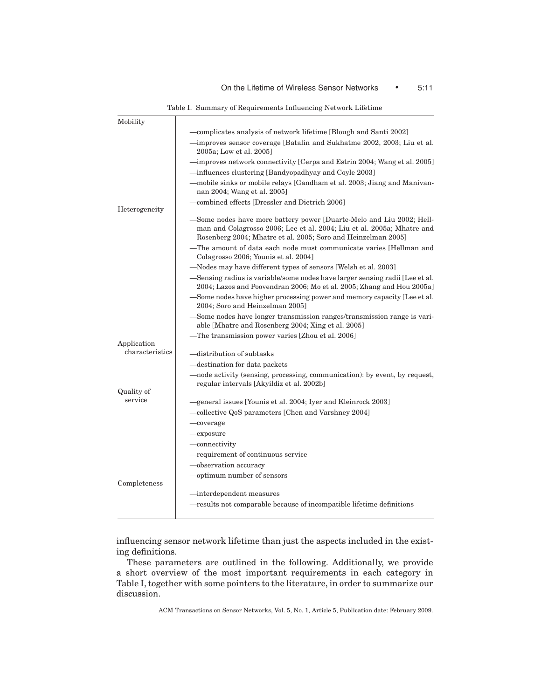| Mobility                       |                                                                                                                                                                                                                 |
|--------------------------------|-----------------------------------------------------------------------------------------------------------------------------------------------------------------------------------------------------------------|
|                                | -complicates analysis of network lifetime [Blough and Santi 2002]                                                                                                                                               |
|                                | -improves sensor coverage [Batalin and Sukhatme 2002, 2003; Liu et al.<br>2005a; Low et al. 2005]                                                                                                               |
|                                | -improves network connectivity [Cerpa and Estrin 2004; Wang et al. 2005]<br>—influences clustering [Bandyopadhyay and Coyle 2003]                                                                               |
|                                |                                                                                                                                                                                                                 |
|                                | -mobile sinks or mobile relays [Gandham et al. 2003; Jiang and Manivan-<br>nan 2004; Wang et al. 2005]                                                                                                          |
| Heterogeneity                  | -combined effects [Dressler and Dietrich 2006]                                                                                                                                                                  |
|                                | -Some nodes have more battery power [Duarte-Melo and Liu 2002; Hell-<br>man and Colagrosso 2006; Lee et al. 2004; Liu et al. 2005a; Mhatre and<br>Rosenberg 2004; Mhatre et al. 2005; Soro and Heinzelman 2005] |
|                                | -The amount of data each node must communicate varies [Hellman and<br>Colagrosso 2006; Younis et al. 2004]                                                                                                      |
|                                | -Nodes may have different types of sensors [Welsh et al. 2003]                                                                                                                                                  |
|                                | -Sensing radius is variable/some nodes have larger sensing radii [Lee et al.<br>2004; Lazos and Poovendran 2006; Mo et al. 2005; Zhang and Hou 2005a]                                                           |
|                                | —Some nodes have higher processing power and memory capacity [Lee et al.<br>2004; Soro and Heinzelman 2005]                                                                                                     |
|                                | —Some nodes have longer transmission ranges/transmission range is vari-<br>able [Mhatre and Rosenberg 2004; Xing et al. 2005]                                                                                   |
|                                | -The transmission power varies [Zhou et al. 2006]                                                                                                                                                               |
| Application<br>characteristics |                                                                                                                                                                                                                 |
|                                | -distribution of subtasks                                                                                                                                                                                       |
|                                | -destination for data packets                                                                                                                                                                                   |
|                                | -node activity (sensing, processing, communication): by event, by request,<br>regular intervals [Akyildiz et al. 2002b]                                                                                         |
| Quality of                     |                                                                                                                                                                                                                 |
| service                        | -general issues [Younis et al. 2004; Iyer and Kleinrock 2003]                                                                                                                                                   |
|                                | —collective QoS parameters [Chen and Varshney 2004]                                                                                                                                                             |
|                                | -coverage                                                                                                                                                                                                       |
|                                | -exposure                                                                                                                                                                                                       |
|                                | —connectivity                                                                                                                                                                                                   |
|                                | -requirement of continuous service                                                                                                                                                                              |
|                                | -observation accuracy                                                                                                                                                                                           |
|                                | -optimum number of sensors                                                                                                                                                                                      |
| Completeness                   |                                                                                                                                                                                                                 |
|                                | -interdependent measures                                                                                                                                                                                        |
|                                | -results not comparable because of incompatible lifetime definitions                                                                                                                                            |

Table I. Summary of Requirements Influencing Network Lifetime

influencing sensor network lifetime than just the aspects included in the existing definitions.

These parameters are outlined in the following. Additionally, we provide a short overview of the most important requirements in each category in Table I, together with some pointers to the literature, in order to summarize our discussion.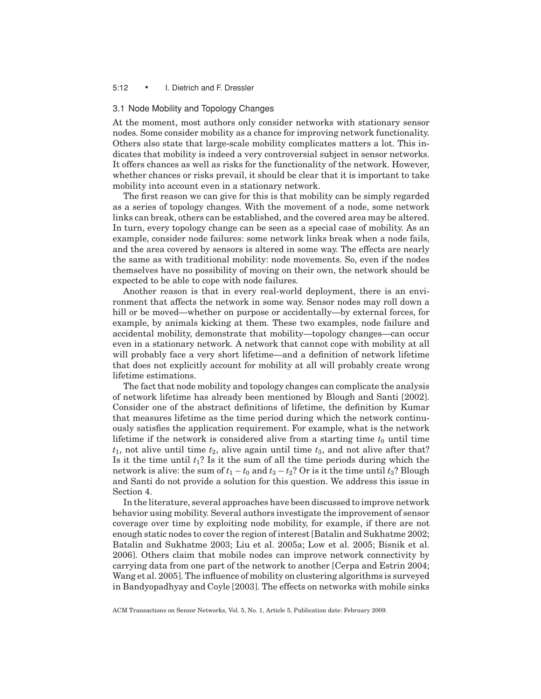## 5:12 • I. Dietrich and F. Dressler

## 3.1 Node Mobility and Topology Changes

At the moment, most authors only consider networks with stationary sensor nodes. Some consider mobility as a chance for improving network functionality. Others also state that large-scale mobility complicates matters a lot. This indicates that mobility is indeed a very controversial subject in sensor networks. It offers chances as well as risks for the functionality of the network. However, whether chances or risks prevail, it should be clear that it is important to take mobility into account even in a stationary network.

The first reason we can give for this is that mobility can be simply regarded as a series of topology changes. With the movement of a node, some network links can break, others can be established, and the covered area may be altered. In turn, every topology change can be seen as a special case of mobility. As an example, consider node failures: some network links break when a node fails, and the area covered by sensors is altered in some way. The effects are nearly the same as with traditional mobility: node movements. So, even if the nodes themselves have no possibility of moving on their own, the network should be expected to be able to cope with node failures.

Another reason is that in every real-world deployment, there is an environment that affects the network in some way. Sensor nodes may roll down a hill or be moved—whether on purpose or accidentally—by external forces, for example, by animals kicking at them. These two examples, node failure and accidental mobility, demonstrate that mobility—topology changes—can occur even in a stationary network. A network that cannot cope with mobility at all will probably face a very short lifetime—and a definition of network lifetime that does not explicitly account for mobility at all will probably create wrong lifetime estimations.

The fact that node mobility and topology changes can complicate the analysis of network lifetime has already been mentioned by Blough and Santi [2002]. Consider one of the abstract definitions of lifetime, the definition by Kumar that measures lifetime as the time period during which the network continuously satisfies the application requirement. For example, what is the network lifetime if the network is considered alive from a starting time  $t_0$  until time  $t_1$ , not alive until time  $t_2$ , alive again until time  $t_3$ , and not alive after that? Is it the time until *t*1? Is it the sum of all the time periods during which the network is alive: the sum of  $t_1 - t_0$  and  $t_3 - t_2$ ? Or is it the time until  $t_3$ ? Blough and Santi do not provide a solution for this question. We address this issue in Section 4.

In the literature, several approaches have been discussed to improve network behavior using mobility. Several authors investigate the improvement of sensor coverage over time by exploiting node mobility, for example, if there are not enough static nodes to cover the region of interest [Batalin and Sukhatme 2002; Batalin and Sukhatme 2003; Liu et al. 2005a; Low et al. 2005; Bisnik et al. 2006]. Others claim that mobile nodes can improve network connectivity by carrying data from one part of the network to another [Cerpa and Estrin 2004; Wang et al. 2005]. The influence of mobility on clustering algorithms is surveyed in Bandyopadhyay and Coyle [2003]. The effects on networks with mobile sinks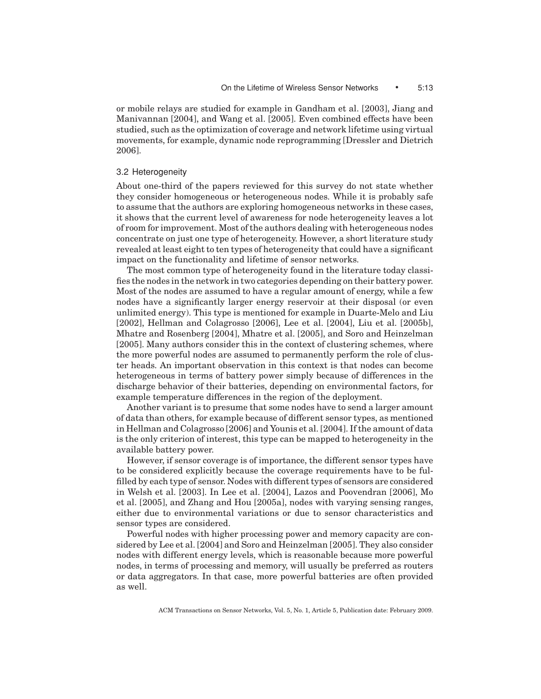or mobile relays are studied for example in Gandham et al. [2003], Jiang and Manivannan [2004], and Wang et al. [2005]. Even combined effects have been studied, such as the optimization of coverage and network lifetime using virtual movements, for example, dynamic node reprogramming [Dressler and Dietrich 2006].

# 3.2 Heterogeneity

About one-third of the papers reviewed for this survey do not state whether they consider homogeneous or heterogeneous nodes. While it is probably safe to assume that the authors are exploring homogeneous networks in these cases, it shows that the current level of awareness for node heterogeneity leaves a lot of room for improvement. Most of the authors dealing with heterogeneous nodes concentrate on just one type of heterogeneity. However, a short literature study revealed at least eight to ten types of heterogeneity that could have a significant impact on the functionality and lifetime of sensor networks.

The most common type of heterogeneity found in the literature today classifies the nodes in the network in two categories depending on their battery power. Most of the nodes are assumed to have a regular amount of energy, while a few nodes have a significantly larger energy reservoir at their disposal (or even unlimited energy). This type is mentioned for example in Duarte-Melo and Liu [2002], Hellman and Colagrosso [2006], Lee et al. [2004], Liu et al. [2005b], Mhatre and Rosenberg [2004], Mhatre et al. [2005], and Soro and Heinzelman [2005]. Many authors consider this in the context of clustering schemes, where the more powerful nodes are assumed to permanently perform the role of cluster heads. An important observation in this context is that nodes can become heterogeneous in terms of battery power simply because of differences in the discharge behavior of their batteries, depending on environmental factors, for example temperature differences in the region of the deployment.

Another variant is to presume that some nodes have to send a larger amount of data than others, for example because of different sensor types, as mentioned in Hellman and Colagrosso [2006] and Younis et al. [2004]. If the amount of data is the only criterion of interest, this type can be mapped to heterogeneity in the available battery power.

However, if sensor coverage is of importance, the different sensor types have to be considered explicitly because the coverage requirements have to be fulfilled by each type of sensor. Nodes with different types of sensors are considered in Welsh et al. [2003]. In Lee et al. [2004], Lazos and Poovendran [2006], Mo et al. [2005], and Zhang and Hou [2005a], nodes with varying sensing ranges, either due to environmental variations or due to sensor characteristics and sensor types are considered.

Powerful nodes with higher processing power and memory capacity are considered by Lee et al. [2004] and Soro and Heinzelman [2005]. They also consider nodes with different energy levels, which is reasonable because more powerful nodes, in terms of processing and memory, will usually be preferred as routers or data aggregators. In that case, more powerful batteries are often provided as well.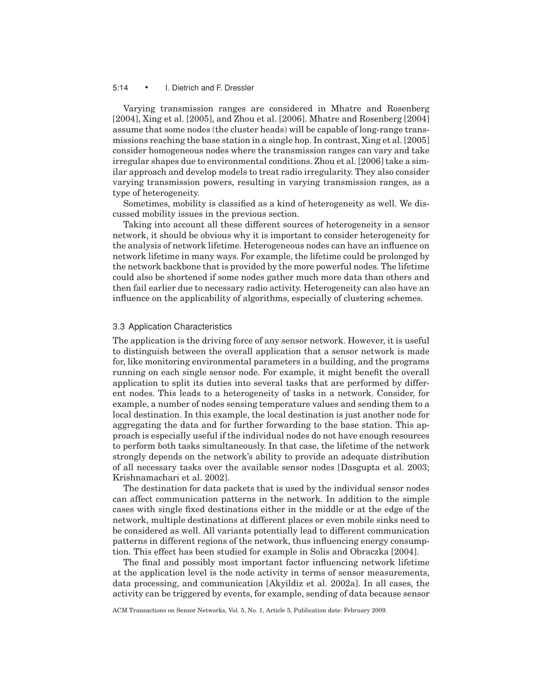#### 5:14 • I. Dietrich and F. Dressler

Varying transmission ranges are considered in Mhatre and Rosenberg [2004], Xing et al. [2005], and Zhou et al. [2006]. Mhatre and Rosenberg [2004] assume that some nodes (the cluster heads) will be capable of long-range transmissions reaching the base station in a single hop. In contrast, Xing et al. [2005] consider homogeneous nodes where the transmission ranges can vary and take irregular shapes due to environmental conditions. Zhou et al. [2006] take a similar approach and develop models to treat radio irregularity. They also consider varying transmission powers, resulting in varying transmission ranges, as a type of heterogeneity.

Sometimes, mobility is classified as a kind of heterogeneity as well. We discussed mobility issues in the previous section.

Taking into account all these different sources of heterogeneity in a sensor network, it should be obvious why it is important to consider heterogeneity for the analysis of network lifetime. Heterogeneous nodes can have an influence on network lifetime in many ways. For example, the lifetime could be prolonged by the network backbone that is provided by the more powerful nodes. The lifetime could also be shortened if some nodes gather much more data than others and then fail earlier due to necessary radio activity. Heterogeneity can also have an influence on the applicability of algorithms, especially of clustering schemes.

#### 3.3 Application Characteristics

The application is the driving force of any sensor network. However, it is useful to distinguish between the overall application that a sensor network is made for, like monitoring environmental parameters in a building, and the programs running on each single sensor node. For example, it might benefit the overall application to split its duties into several tasks that are performed by different nodes. This leads to a heterogeneity of tasks in a network. Consider, for example, a number of nodes sensing temperature values and sending them to a local destination. In this example, the local destination is just another node for aggregating the data and for further forwarding to the base station. This approach is especially useful if the individual nodes do not have enough resources to perform both tasks simultaneously. In that case, the lifetime of the network strongly depends on the network's ability to provide an adequate distribution of all necessary tasks over the available sensor nodes [Dasgupta et al. 2003; Krishnamachari et al. 2002].

The destination for data packets that is used by the individual sensor nodes can affect communication patterns in the network. In addition to the simple cases with single fixed destinations either in the middle or at the edge of the network, multiple destinations at different places or even mobile sinks need to be considered as well. All variants potentially lead to different communication patterns in different regions of the network, thus influencing energy consumption. This effect has been studied for example in Solis and Obraczka [2004].

The final and possibly most important factor influencing network lifetime at the application level is the node activity in terms of sensor measurements, data processing, and communication [Akyildiz et al. 2002a]. In all cases, the activity can be triggered by events, for example, sending of data because sensor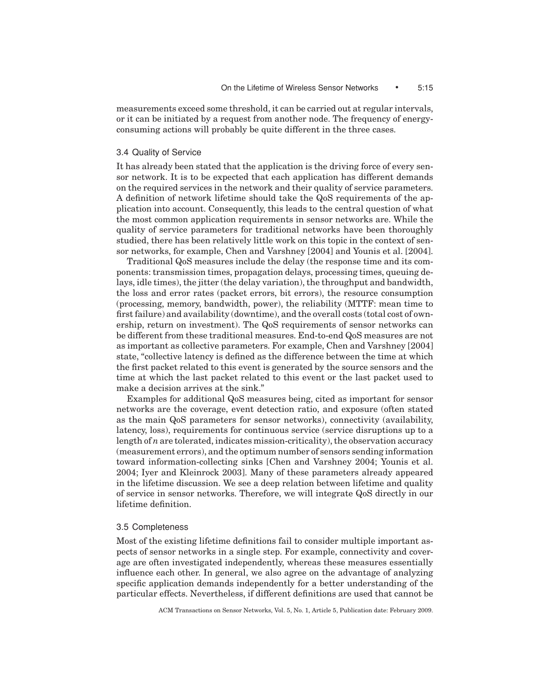measurements exceed some threshold, it can be carried out at regular intervals, or it can be initiated by a request from another node. The frequency of energyconsuming actions will probably be quite different in the three cases.

## 3.4 Quality of Service

It has already been stated that the application is the driving force of every sensor network. It is to be expected that each application has different demands on the required services in the network and their quality of service parameters. A definition of network lifetime should take the QoS requirements of the application into account. Consequently, this leads to the central question of what the most common application requirements in sensor networks are. While the quality of service parameters for traditional networks have been thoroughly studied, there has been relatively little work on this topic in the context of sensor networks, for example, Chen and Varshney [2004] and Younis et al. [2004].

Traditional QoS measures include the delay (the response time and its components: transmission times, propagation delays, processing times, queuing delays, idle times), the jitter (the delay variation), the throughput and bandwidth, the loss and error rates (packet errors, bit errors), the resource consumption (processing, memory, bandwidth, power), the reliability (MTTF: mean time to first failure) and availability (downtime), and the overall costs (total cost of ownership, return on investment). The QoS requirements of sensor networks can be different from these traditional measures. End-to-end QoS measures are not as important as collective parameters. For example, Chen and Varshney [2004] state, "collective latency is defined as the difference between the time at which the first packet related to this event is generated by the source sensors and the time at which the last packet related to this event or the last packet used to make a decision arrives at the sink."

Examples for additional QoS measures being, cited as important for sensor networks are the coverage, event detection ratio, and exposure (often stated as the main QoS parameters for sensor networks), connectivity (availability, latency, loss), requirements for continuous service (service disruptions up to a length of *n* are tolerated, indicates mission-criticality), the observation accuracy (measurement errors), and the optimum number of sensors sending information toward information-collecting sinks [Chen and Varshney 2004; Younis et al. 2004; Iyer and Kleinrock 2003]. Many of these parameters already appeared in the lifetime discussion. We see a deep relation between lifetime and quality of service in sensor networks. Therefore, we will integrate QoS directly in our lifetime definition.

## 3.5 Completeness

Most of the existing lifetime definitions fail to consider multiple important aspects of sensor networks in a single step. For example, connectivity and coverage are often investigated independently, whereas these measures essentially influence each other. In general, we also agree on the advantage of analyzing specific application demands independently for a better understanding of the particular effects. Nevertheless, if different definitions are used that cannot be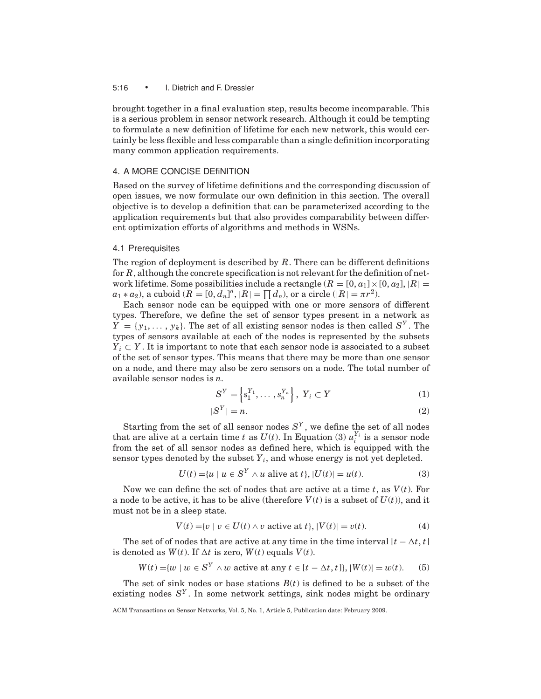## 5:16 • I. Dietrich and F. Dressler

brought together in a final evaluation step, results become incomparable. This is a serious problem in sensor network research. Although it could be tempting to formulate a new definition of lifetime for each new network, this would certainly be less flexible and less comparable than a single definition incorporating many common application requirements.

# 4. A MORE CONCISE DEfiNITION

Based on the survey of lifetime definitions and the corresponding discussion of open issues, we now formulate our own definition in this section. The overall objective is to develop a definition that can be parameterized according to the application requirements but that also provides comparability between different optimization efforts of algorithms and methods in WSNs.

## 4.1 Prerequisites

The region of deployment is described by *R*. There can be different definitions for *R*, although the concrete specification is not relevant for the definition of network lifetime. Some possibilities include a rectangle  $(R = [0, a_1] \times [0, a_2]$ ,  $|R|$  $a_1 * a_2$ , a cuboid  $(R = [0, d_n]^n, |R| = \prod d_n)$ , or a circle  $(|R| = \pi r^2)$ .

Each sensor node can be equipped with one or more sensors of different types. Therefore, we define the set of sensor types present in a network as  $Y = \{y_1, \ldots, y_k\}$ . The set of all existing sensor nodes is then called  $S^Y$ . The types of sensors available at each of the nodes is represented by the subsets  $Y_i \subset Y$ . It is important to note that each sensor node is associated to a subset of the set of sensor types. This means that there may be more than one sensor on a node, and there may also be zero sensors on a node. The total number of available sensor nodes is *n*.

$$
S^Y = \left\{ s_1^{Y_1}, \dots, s_n^{Y_n} \right\}, \ Y_i \subset Y \tag{1}
$$

$$
|S^Y| = n.\t\t(2)
$$

Starting from the set of all sensor nodes *S<sup>Y</sup>* , we define the set of all nodes that are alive at a certain time *t* as  $U(t)$ . In Equation (3)  $u_i^{Y_i}$  is a sensor node from the set of all sensor nodes as defined here, which is equipped with the sensor types denoted by the subset  $Y_i$ , and whose energy is not yet depleted.

$$
U(t) = \{u \mid u \in S^Y \land u \text{ alive at } t\}, |U(t)| = u(t).
$$
 (3)

Now we can define the set of nodes that are active at a time  $t$ , as  $V(t)$ . For a node to be active, it has to be alive (therefore  $V(t)$  is a subset of  $U(t)$ ), and it must not be in a sleep state.

$$
V(t) = \{v \mid v \in U(t) \land v \text{ active at } t\}, |V(t)| = v(t). \tag{4}
$$

The set of of nodes that are active at any time in the time interval  $[t - \Delta t, t]$ is denoted as  $W(t)$ . If  $\Delta t$  is zero,  $W(t)$  equals  $V(t)$ .

$$
W(t) = \{w \mid w \in S^Y \land w \text{ active at any } t \in [t - \Delta t, t], |W(t)| = w(t). \tag{5}
$$

The set of sink nodes or base stations  $B(t)$  is defined to be a subset of the existing nodes  $S<sup>Y</sup>$ . In some network settings, sink nodes might be ordinary

ACM Transactions on Sensor Networks, Vol. 5, No. 1, Article 5, Publication date: February 2009.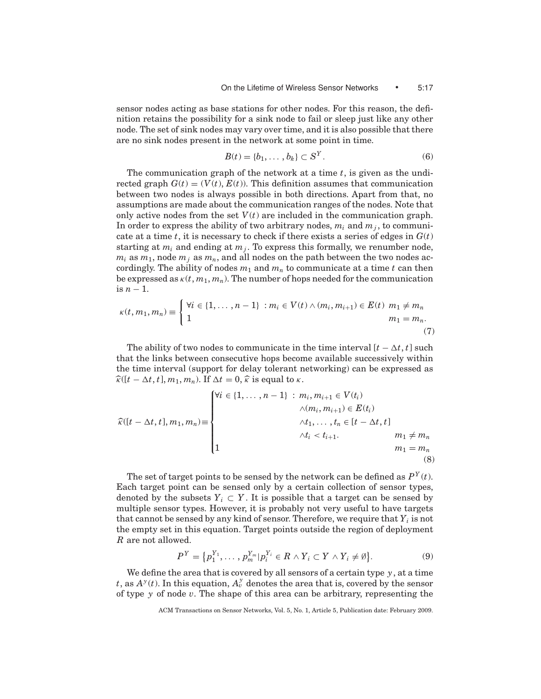sensor nodes acting as base stations for other nodes. For this reason, the definition retains the possibility for a sink node to fail or sleep just like any other node. The set of sink nodes may vary over time, and it is also possible that there are no sink nodes present in the network at some point in time.

$$
B(t) = \{b_1, \ldots, b_k\} \subset S^Y. \tag{6}
$$

The communication graph of the network at a time *t*, is given as the undirected graph  $G(t) = (V(t), E(t))$ . This definition assumes that communication between two nodes is always possible in both directions. Apart from that, no assumptions are made about the communication ranges of the nodes. Note that only active nodes from the set  $V(t)$  are included in the communication graph. In order to express the ability of two arbitrary nodes,  $m_i$  and  $m_j$ , to communicate at a time  $t$ , it is necessary to check if there exists a series of edges in  $G(t)$ starting at  $m_i$  and ending at  $m_j$ . To express this formally, we renumber node,  $m_i$  as  $m_1$ , node  $m_j$  as  $m_n$ , and all nodes on the path between the two nodes accordingly. The ability of nodes  $m_1$  and  $m_n$  to communicate at a time  $t$  can then be expressed as  $\kappa(t, m_1, m_n)$ . The number of hops needed for the communication is  $n-1$ .

$$
\kappa(t, m_1, m_n) \equiv \begin{cases} \forall i \in \{1, ..., n-1\} : m_i \in V(t) \land (m_i, m_{i+1}) \in E(t) & m_1 \neq m_n \\ 1 & m_1 = m_n. \end{cases}
$$
(7)

The ability of two nodes to communicate in the time interval  $[t - \Delta t, t]$  such that the links between consecutive hops become available successively within the time interval (support for delay tolerant networking) can be expressed as  $\widehat{\kappa}([t - \Delta t, t], m_1, m_n)$ . If  $\Delta t = 0$ ,  $\widehat{\kappa}$  is equal to  $\kappa$ .

$$
\widehat{\kappa}([t - \Delta t, t], m_1, m_n) = \begin{cases}\n\forall i \in \{1, ..., n - 1\} : m_i, m_{i+1} \in V(t_i) \\
\wedge (m_i, m_{i+1}) \in E(t_i) \\
\wedge t_1, ..., t_n \in [t - \Delta t, t] \\
\wedge t_i < t_{i+1}.\n\end{cases}
$$
\n
$$
m_1 \neq m_n
$$
\n(8)

The set of target points to be sensed by the network can be defined as  $P^{Y}(t)$ . Each target point can be sensed only by a certain collection of sensor types, denoted by the subsets  $Y_i \subset Y$ . It is possible that a target can be sensed by multiple sensor types. However, it is probably not very useful to have targets that cannot be sensed by any kind of sensor. Therefore, we require that  $Y_i$  is not the empty set in this equation. Target points outside the region of deployment *R* are not allowed.

$$
P^Y = \{p_1^{Y_1}, \dots, p_m^{Y_m} | p_i^{Y_i} \in R \land Y_i \subset Y \land Y_i \neq \emptyset\}.
$$
\n
$$
(9)
$$

We define the area that is covered by all sensors of a certain type  $\gamma$ , at a time *t*, as  $A^y(t)$ . In this equation,  $A^y_v$  denotes the area that is, covered by the sensor of type  $\gamma$  of node  $\nu$ . The shape of this area can be arbitrary, representing the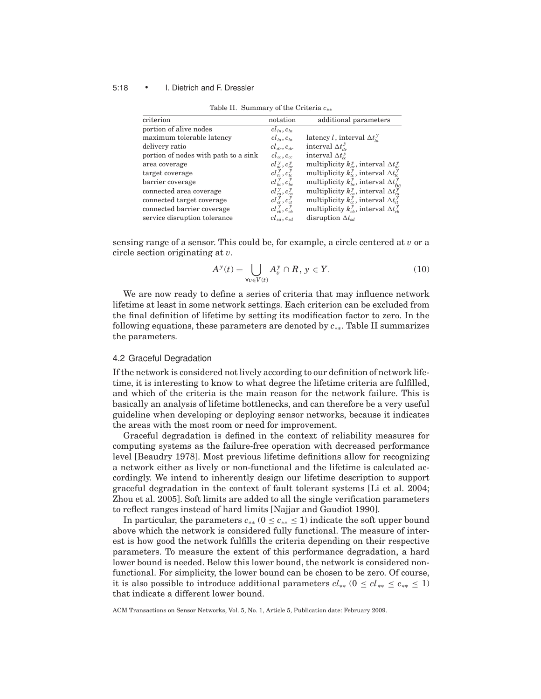## 5:18 • I. Dietrich and F. Dressler

| criterion                            | notation                                                                                       | additional parameters                                |  |  |  |  |  |  |
|--------------------------------------|------------------------------------------------------------------------------------------------|------------------------------------------------------|--|--|--|--|--|--|
| portion of alive nodes               | $cl_{ln}, c_{ln}$                                                                              |                                                      |  |  |  |  |  |  |
| maximum tolerable latency            | $cl_{la}, c_{la}$                                                                              | latency l, interval $\Delta t_{i}^{y}$               |  |  |  |  |  |  |
| delivery ratio                       | $cl_{dr}, c_{dr}$                                                                              | interval $\Delta t_{dr}^y$                           |  |  |  |  |  |  |
| portion of nodes with path to a sink | $cl_{cc}, c_{cc}$                                                                              | interval $\Delta t_{ss}^y$                           |  |  |  |  |  |  |
| area coverage                        |                                                                                                | multiplicity $k_{ac}^y$ , interval $\Delta t_{ac}^y$ |  |  |  |  |  |  |
| target coverage                      | $\begin{array}{c} cl^{\;y}_{\;ac},c^{\,y}_{\;ac}\\ cl^{\;y}_{\;tc},c^{\,y}_{\;tc} \end{array}$ | multiplicity $k_{tc}^y$ , interval $\Delta t_{tc}^y$ |  |  |  |  |  |  |
| barrier coverage                     | $cl_{bc}^y, c_{bc}^y$                                                                          | multiplicity $k_{bc}^y$ , interval $\Delta t_{bc}^y$ |  |  |  |  |  |  |
| connected area coverage              | $\begin{array}{c} cl^{~y}_{~ca}, c^{~y}_{ca}\ cl^{~y}_{~ct}, c^{~y}_{ct} \end{array}$          | multiplicity $k_{ca}^y$ , interval $\Delta t_{ca}^y$ |  |  |  |  |  |  |
| connected target coverage            |                                                                                                | multiplicity $k_{ct}^y$ , interval $\Delta t_{ct}^y$ |  |  |  |  |  |  |
| connected barrier coverage           | $cl_{ch}^y, c_{ch}^y$                                                                          | multiplicity $k_{ch}^y$ , interval $\Delta t_{ch}^y$ |  |  |  |  |  |  |
| service disruption tolerance         | $cl_{sd}, c_{sd}$                                                                              | disruption $\Delta t_{sd}$                           |  |  |  |  |  |  |

Table II. Summary of the Criteria *c*∗∗

sensing range of a sensor. This could be, for example, a circle centered at *v* or a circle section originating at *v*.

$$
A^{y}(t) = \bigcup_{\forall v \in V(t)} A^{y}_{v} \cap R, y \in Y.
$$
 (10)

We are now ready to define a series of criteria that may influence network lifetime at least in some network settings. Each criterion can be excluded from the final definition of lifetime by setting its modification factor to zero. In the following equations, these parameters are denoted by *c*∗∗. Table II summarizes the parameters.

## 4.2 Graceful Degradation

If the network is considered not lively according to our definition of network lifetime, it is interesting to know to what degree the lifetime criteria are fulfilled, and which of the criteria is the main reason for the network failure. This is basically an analysis of lifetime bottlenecks, and can therefore be a very useful guideline when developing or deploying sensor networks, because it indicates the areas with the most room or need for improvement.

Graceful degradation is defined in the context of reliability measures for computing systems as the failure-free operation with decreased performance level [Beaudry 1978]. Most previous lifetime definitions allow for recognizing a network either as lively or non-functional and the lifetime is calculated accordingly. We intend to inherently design our lifetime description to support graceful degradation in the context of fault tolerant systems [Li et al. 2004; Zhou et al. 2005]. Soft limits are added to all the single verification parameters to reflect ranges instead of hard limits [Najjar and Gaudiot 1990].

In particular, the parameters  $c_{**}$  ( $0 \leq c_{**} \leq 1$ ) indicate the soft upper bound above which the network is considered fully functional. The measure of interest is how good the network fulfills the criteria depending on their respective parameters. To measure the extent of this performance degradation, a hard lower bound is needed. Below this lower bound, the network is considered nonfunctional. For simplicity, the lower bound can be chosen to be zero. Of course, it is also possible to introduce additional parameters  $cl_{**}$  ( $0 \leq cl_{**} \leq c_{**} \leq 1$ ) that indicate a different lower bound.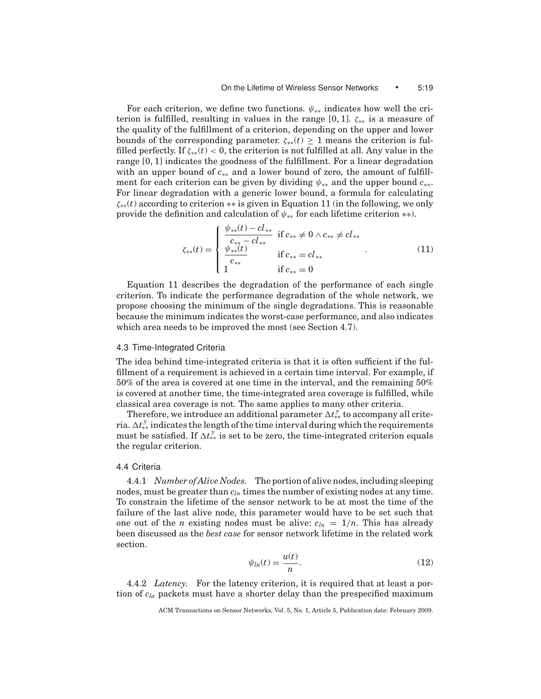For each criterion, we define two functions.  $\psi_{**}$  indicates how well the criterion is fulfilled, resulting in values in the range [0, 1].  $\zeta_{**}$  is a measure of the quality of the fulfillment of a criterion, depending on the upper and lower bounds of the corresponding parameter.  $\zeta_{**}(t) \geq 1$  means the criterion is fulfilled perfectly. If  $\zeta_{**}(t) < 0$ , the criterion is not fulfilled at all. Any value in the range [0, 1] indicates the goodness of the fulfillment. For a linear degradation with an upper bound of *c*∗∗ and a lower bound of zero, the amount of fulfillment for each criterion can be given by dividing ψ∗∗ and the upper bound *c*∗∗. For linear degradation with a generic lower bound, a formula for calculating ζ∗∗(*t*) according to criterion ∗∗ is given in Equation 11 (in the following, we only provide the definition and calculation of  $\psi_{**}$  for each lifetime criterion  $**$ ).

$$
\zeta_{**}(t) = \begin{cases} \frac{\psi_{**}(t) - cl_{**}}{c_{**} - cl_{**}} & \text{if } c_{**} \neq 0 \land c_{**} \neq cl_{**} \\ \frac{\psi_{**}(t)}{c_{**}} & \text{if } c_{**} = cl_{**} \\ 1 & \text{if } c_{**} = 0 \end{cases} \tag{11}
$$

Equation 11 describes the degradation of the performance of each single criterion. To indicate the performance degradation of the whole network, we propose choosing the minimum of the single degradations. This is reasonable because the minimum indicates the worst-case performance, and also indicates which area needs to be improved the most (see Section 4.7).

## 4.3 Time-Integrated Criteria

The idea behind time-integrated criteria is that it is often sufficient if the fulfillment of a requirement is achieved in a certain time interval. For example, if 50% of the area is covered at one time in the interval, and the remaining 50% is covered at another time, the time-integrated area coverage is fulfilled, while classical area coverage is not. The same applies to many other criteria.

Therefore, we introduce an additional parameter  $\Delta t_{**}^{y}$  to accompany all criteria. ∆t<sup>y</sup><sub>\*\*</sub> indicates the length of the time interval during which the requirements must be satisfied. If  $\Delta t_{**}^y$  is set to be zero, the time-integrated criterion equals the regular criterion.

## 4.4 Criteria

4.4.1 *Number of Alive Nodes.* The portion of alive nodes, including sleeping nodes, must be greater than *cln* times the number of existing nodes at any time. To constrain the lifetime of the sensor network to be at most the time of the failure of the last alive node, this parameter would have to be set such that one out of the *n* existing nodes must be alive:  $c_{ln} = 1/n$ . This has already been discussed as the *best case* for sensor network lifetime in the related work section.

$$
\psi_{ln}(t) = \frac{u(t)}{n}.\tag{12}
$$

4.4.2 *Latency.* For the latency criterion, it is required that at least a portion of *cla* packets must have a shorter delay than the prespecified maximum

ACM Transactions on Sensor Networks, Vol. 5, No. 1, Article 5, Publication date: February 2009.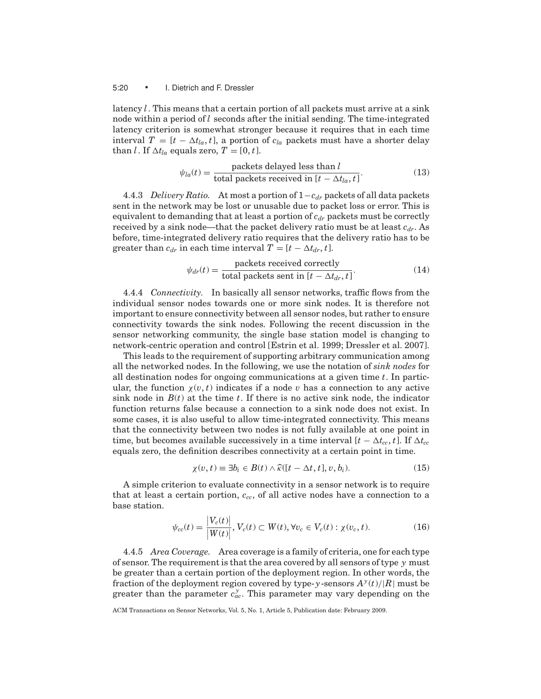## 5:20 • I. Dietrich and F. Dressler

latency *l*. This means that a certain portion of all packets must arrive at a sink node within a period of *l* seconds after the initial sending. The time-integrated latency criterion is somewhat stronger because it requires that in each time interval  $T = [t - \Delta t_{la}, t]$ , a portion of  $c_{la}$  packets must have a shorter delay than *l*. If  $\Delta t_{la}$  equals zero,  $T = [0, t]$ .

$$
\psi_{la}(t) = \frac{\text{packets delayed less than } l}{\text{total packets received in } [t - \Delta t_{la}, t]}.
$$
\n(13)

4.4.3 *Delivery Ratio.* At most a portion of 1−*cdr* packets of all data packets sent in the network may be lost or unusable due to packet loss or error. This is equivalent to demanding that at least a portion of  $c_{dr}$  packets must be correctly received by a sink node—that the packet delivery ratio must be at least *cdr*. As before, time-integrated delivery ratio requires that the delivery ratio has to be greater than  $c_{dr}$  in each time interval  $T = [t - \Delta t_{dr}, t]$ .

$$
\psi_{dr}(t) = \frac{\text{packets received correctly}}{\text{total packets sent in } [t - \Delta t_{dr}, t]}.
$$
\n(14)

4.4.4 *Connectivity.* In basically all sensor networks, traffic flows from the individual sensor nodes towards one or more sink nodes. It is therefore not important to ensure connectivity between all sensor nodes, but rather to ensure connectivity towards the sink nodes. Following the recent discussion in the sensor networking community, the single base station model is changing to network-centric operation and control [Estrin et al. 1999; Dressler et al. 2007].

This leads to the requirement of supporting arbitrary communication among all the networked nodes. In the following, we use the notation of *sink nodes* for all destination nodes for ongoing communications at a given time *t*. In particular, the function  $\chi(v, t)$  indicates if a node *v* has a connection to any active sink node in  $B(t)$  at the time *t*. If there is no active sink node, the indicator function returns false because a connection to a sink node does not exist. In some cases, it is also useful to allow time-integrated connectivity. This means that the connectivity between two nodes is not fully available at one point in time, but becomes available successively in a time interval  $[t - \Delta t_{cc}, t]$ . If  $\Delta t_{cc}$ equals zero, the definition describes connectivity at a certain point in time.

$$
\chi(v, t) \equiv \exists b_i \in B(t) \land \widehat{\kappa}([t - \Delta t, t], v, b_i). \tag{15}
$$

A simple criterion to evaluate connectivity in a sensor network is to require that at least a certain portion, *ccc*, of all active nodes have a connection to a base station.

$$
\psi_{cc}(t) = \frac{|V_c(t)|}{|W(t)|}, V_c(t) \subset W(t), \forall v_c \in V_c(t) : \chi(v_c, t). \tag{16}
$$

4.4.5 *Area Coverage.* Area coverage is a family of criteria, one for each type of sensor. The requirement is that the area covered by all sensors of type *y* must be greater than a certain portion of the deployment region. In other words, the fraction of the deployment region covered by type- $\gamma$ -sensors  $A^{\gamma}(t)/|R|$  must be greater than the parameter  $c_{ac}^y$ . This parameter may vary depending on the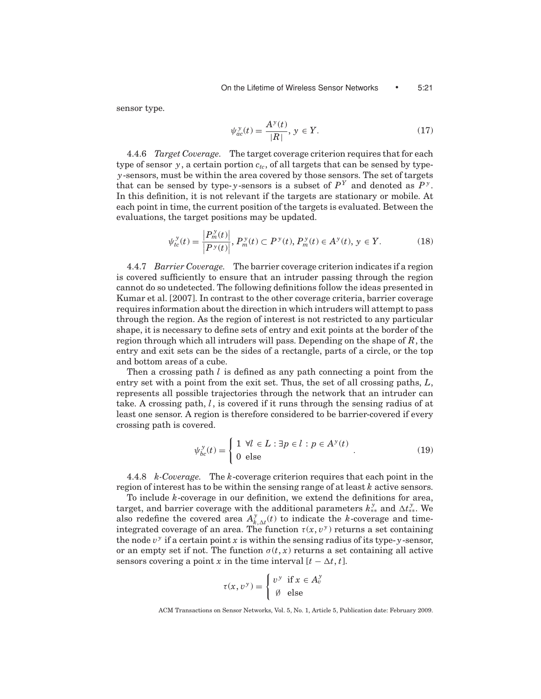sensor type.

$$
\psi_{ac}^y(t) = \frac{A^y(t)}{|R|}, \, y \in Y. \tag{17}
$$

4.4.6 *Target Coverage.* The target coverage criterion requires that for each type of sensor  $y$ , a certain portion  $c_{tc}$ , of all targets that can be sensed by type*y*-sensors, must be within the area covered by those sensors. The set of targets that can be sensed by type- $\gamma$ -sensors is a subset of  $P^Y$  and denoted as  $P^y$ . In this definition, it is not relevant if the targets are stationary or mobile. At each point in time, the current position of the targets is evaluated. Between the evaluations, the target positions may be updated.

$$
\psi_{tc}^{\mathcal{Y}}(t) = \frac{|P_m^{\mathcal{Y}}(t)|}{|P^{\mathcal{Y}}(t)|}, P_m^{\mathcal{Y}}(t) \subset P^{\mathcal{Y}}(t), P_m^{\mathcal{Y}}(t) \in A^{\mathcal{Y}}(t), \mathcal{Y} \in Y.
$$
 (18)

4.4.7 *Barrier Coverage.* The barrier coverage criterion indicates if a region is covered sufficiently to ensure that an intruder passing through the region cannot do so undetected. The following definitions follow the ideas presented in Kumar et al. [2007]. In contrast to the other coverage criteria, barrier coverage requires information about the direction in which intruders will attempt to pass through the region. As the region of interest is not restricted to any particular shape, it is necessary to define sets of entry and exit points at the border of the region through which all intruders will pass. Depending on the shape of *R*, the entry and exit sets can be the sides of a rectangle, parts of a circle, or the top and bottom areas of a cube.

Then a crossing path *l* is defined as any path connecting a point from the entry set with a point from the exit set. Thus, the set of all crossing paths, *L*, represents all possible trajectories through the network that an intruder can take. A crossing path, *l*, is covered if it runs through the sensing radius of at least one sensor. A region is therefore considered to be barrier-covered if every crossing path is covered.

$$
\psi_{bc}^{\mathcal{Y}}(t) = \begin{cases} 1 & \forall l \in L : \exists p \in l : p \in A^{\mathcal{Y}}(t) \\ 0 & \text{else} \end{cases} (19)
$$

4.4.8 *k-Coverage.* The *k*-coverage criterion requires that each point in the region of interest has to be within the sensing range of at least *k* active sensors.

To include *k*-coverage in our definition, we extend the definitions for area, target, and barrier coverage with the additional parameters  $k_{**}^y$  and  $\Delta t_{**}^y$ . We also redefine the covered area  $A_{k,\Delta t}^{\gamma}(t)$  to indicate the *k*-coverage and timeintegrated coverage of an area. The function  $\tau(x, v^y)$  returns a set containing the node  $v^{\gamma}$  if a certain point x is within the sensing radius of its type- $\gamma$ -sensor, or an empty set if not. The function  $\sigma(t, x)$  returns a set containing all active sensors covering a point *x* in the time interval  $[t - \Delta t, t]$ .

$$
\tau(x, v^y) = \begin{cases} v^y & \text{if } x \in A_v^y \\ \emptyset & \text{else} \end{cases}
$$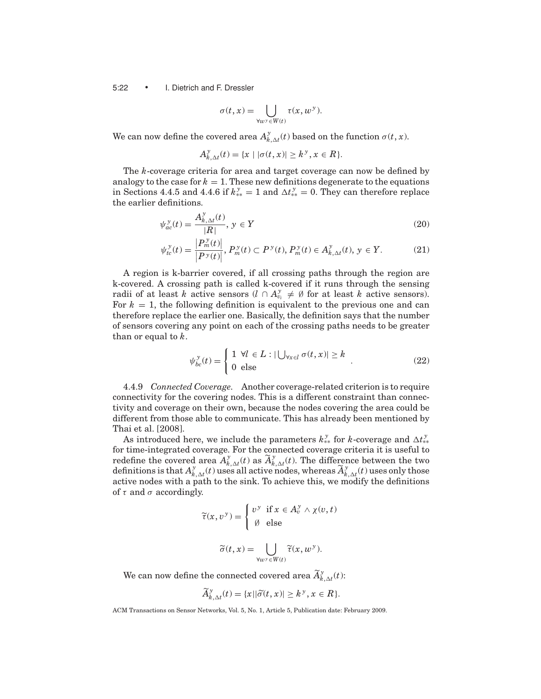5:22 • I. Dietrich and F. Dressler

$$
\sigma(t,x) = \bigcup_{\forall w^y \in W(t)} \tau(x,w^y).
$$

We can now define the covered area  $A^y_{k,\Delta t}(t)$  based on the function  $\sigma(t,x)$ .

$$
A_{k,\Delta t}^y(t) = \{x \mid |\sigma(t,x)| \ge k^y, x \in R\}.
$$

The *k*-coverage criteria for area and target coverage can now be defined by analogy to the case for  $k = 1$ . These new definitions degenerate to the equations in Sections 4.4.5 and 4.4.6 if  $k_{**}^y = 1$  and  $\Delta t_{**}^y = 0$ . They can therefore replace the earlier definitions.

$$
\psi_{ac}^y(t) = \frac{A_{k,\Delta t}^y(t)}{|R|}, \, y \in Y \tag{20}
$$

$$
\psi_{tc}^{\mathcal{Y}}(t) = \frac{|P_m^{\mathcal{Y}}(t)|}{|P^{\mathcal{Y}}(t)|}, P_m^{\mathcal{Y}}(t) \subset P^{\mathcal{Y}}(t), P_m^{\mathcal{Y}}(t) \in A_{k,\Delta t}^{\mathcal{Y}}(t), \mathcal{Y} \in Y.
$$
 (21)

A region is k-barrier covered, if all crossing paths through the region are k-covered. A crossing path is called k-covered if it runs through the sensing radii of at least *k* active sensors  $(l \cap A_{v_i}^y \neq \emptyset$  for at least *k* active sensors). For  $k = 1$ , the following definition is equivalent to the previous one and can therefore replace the earlier one. Basically, the definition says that the number of sensors covering any point on each of the crossing paths needs to be greater than or equal to *k*.

$$
\psi_{bc}^{\mathcal{Y}}(t) = \begin{cases} 1 & \forall l \in L : |\bigcup_{\forall x \in l} \sigma(t, x)| \ge k \\ 0 & \text{else} \end{cases} \tag{22}
$$

4.4.9 *Connected Coverage.* Another coverage-related criterion is to require connectivity for the covering nodes. This is a different constraint than connectivity and coverage on their own, because the nodes covering the area could be different from those able to communicate. This has already been mentioned by Thai et al. [2008].

As introduced here, we include the parameters  $k_{**}^y$  for *k*-coverage and  $\Delta t_{**}^y$ for time-integrated coverage. For the connected coverage criteria it is useful to redefine the covered area  $A_{k,\Delta t}^y(t)$  as  $\widetilde{A}_{k,\Delta t}^y(t)$ . The difference between the two definitions is that  $A_{k,\Delta t}^y(t)$  uses all active nodes, whereas  $\widetilde{A}_{k,\Delta t}^y(t)$  uses only those active nodes with a path to the sink. To achieve this, we modify the definitions of  $\tau$  and  $\sigma$  accordingly.

$$
\widetilde{\tau}(x, v^y) = \begin{cases} v^y & \text{if } x \in A_v^y \wedge \chi(v, t) \\ \emptyset & \text{else} \end{cases}
$$

$$
\widetilde{\sigma}(t, x) = \bigcup_{\forall w^y \in W(t)} \widetilde{\tau}(x, w^y).
$$

We can now define the connected covered area  $\widetilde{A}_{k,\Delta t}^y(t)$ :

$$
\widetilde{A}_{k,\Delta t}^y(t) = \{x \mid |\widetilde{\sigma}(t,x)| \ge k^y, x \in R\}.
$$

ACM Transactions on Sensor Networks, Vol. 5, No. 1, Article 5, Publication date: February 2009.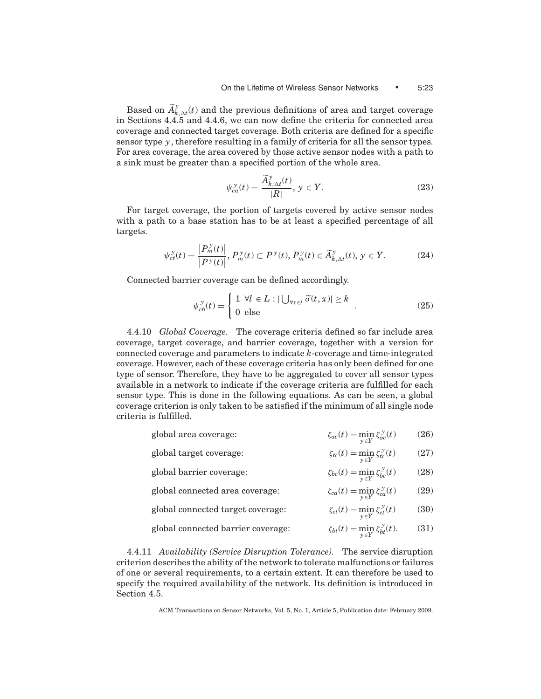Based on  $\widetilde{A}^y_{k,\Delta t}(t)$  and the previous definitions of area and target coverage in Sections 4.4.5 and 4.4.6, we can now define the criteria for connected area coverage and connected target coverage. Both criteria are defined for a specific sensor type *y*, therefore resulting in a family of criteria for all the sensor types. For area coverage, the area covered by those active sensor nodes with a path to a sink must be greater than a specified portion of the whole area.

$$
\psi_{ca}^{\mathcal{Y}}(t) = \frac{\widetilde{A}_{k,\Delta t}^{\mathcal{Y}}(t)}{|R|}, \mathcal{Y} \in Y.
$$
\n(23)

For target coverage, the portion of targets covered by active sensor nodes with a path to a base station has to be at least a specified percentage of all targets.

$$
\psi_{ct}^y(t) = \frac{\left|P_m^y(t)\right|}{\left|P_y(y)\right|}, P_m^y(t) \subset P^y(t), P_m^y(t) \in \widetilde{A}_{k,\Delta t}^y(t), y \in Y. \tag{24}
$$

Connected barrier coverage can be defined accordingly.

$$
\psi_{cb}^{\mathcal{Y}}(t) = \begin{cases} 1 & \forall l \in L : |\bigcup_{\forall x \in l} \tilde{\sigma}(t, x)| \geq k \\ 0 & \text{else} \end{cases} (25)
$$

4.4.10 *Global Coverage.* The coverage criteria defined so far include area coverage, target coverage, and barrier coverage, together with a version for connected coverage and parameters to indicate *k*-coverage and time-integrated coverage. However, each of these coverage criteria has only been defined for one type of sensor. Therefore, they have to be aggregated to cover all sensor types available in a network to indicate if the coverage criteria are fulfilled for each sensor type. This is done in the following equations. As can be seen, a global coverage criterion is only taken to be satisfied if the minimum of all single node criteria is fulfilled.

| global area coverage: | $\zeta_{ac}(t) = \min_{y \in Y} \zeta_{ac}^{y}(t)$ | (26) |
|-----------------------|----------------------------------------------------|------|
|                       |                                                    |      |

| global target coverage: | $\zeta_{tc}(t) = \min_{v \in Y} \zeta_{tc}^{y}(t)$ | (27) |
|-------------------------|----------------------------------------------------|------|
|-------------------------|----------------------------------------------------|------|

| global barrier coverage: | $\zeta_{bc}(t) = \min_{\gamma \in Y} \zeta_{bc}^{\gamma}(t)$ | (28) |
|--------------------------|--------------------------------------------------------------|------|
|                          |                                                              | .    |

- global connected area coverage: ζ*ca*(*t*) = min  $\min_{y \in Y} \zeta_{ca}^y(t)$  (29)
- global connected target coverage: ζ*ct*(*t*) = min  $\min_{y \in Y} \zeta_{ct}^{y}(t)$  (30)
- global connected barrier coverage: ζ*bt*(*t*) = min  $\min_{y \in Y} \zeta_{bt}^y(t)$ . (31)

4.4.11 *Availability (Service Disruption Tolerance).* The service disruption criterion describes the ability of the network to tolerate malfunctions or failures of one or several requirements, to a certain extent. It can therefore be used to specify the required availability of the network. Its definition is introduced in Section 4.5.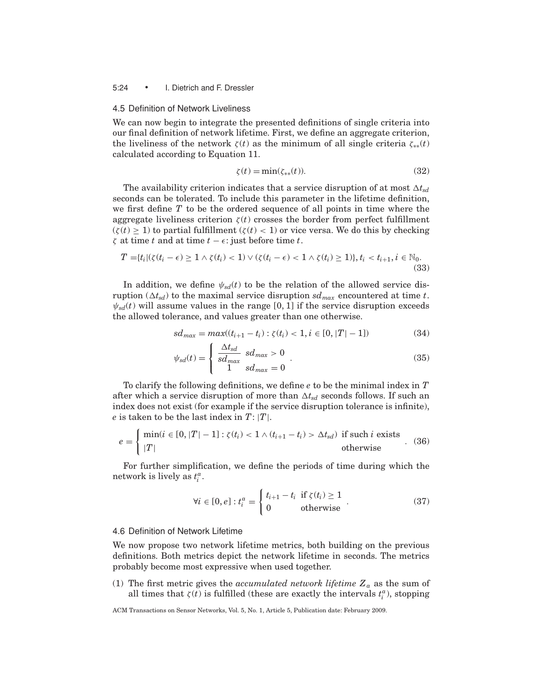#### 5:24 • I. Dietrich and F. Dressler

#### 4.5 Definition of Network Liveliness

We can now begin to integrate the presented definitions of single criteria into our final definition of network lifetime. First, we define an aggregate criterion, the liveliness of the network  $\zeta(t)$  as the minimum of all single criteria  $\zeta_{**}(t)$ calculated according to Equation 11.

$$
\zeta(t) = \min(\zeta_{**}(t)).\tag{32}
$$

The availability criterion indicates that a service disruption of at most  $\Delta t_{sd}$ seconds can be tolerated. To include this parameter in the lifetime definition, we first define *T* to be the ordered sequence of all points in time where the aggregate liveliness criterion  $\zeta(t)$  crosses the border from perfect fulfillment  $(\zeta(t) > 1)$  to partial fulfillment  $(\zeta(t) < 1)$  or vice versa. We do this by checking  $\zeta$  at time *t* and at time  $t - \epsilon$ : just before time *t*.

$$
T = \{t_i | (\zeta(t_i - \epsilon) \ge 1 \land \zeta(t_i) < 1) \lor (\zeta(t_i - \epsilon) < 1 \land \zeta(t_i) \ge 1)\}, t_i < t_{i+1}, i \in \mathbb{N}_0. \tag{33}
$$

In addition, we define  $\psi_{sd}(t)$  to be the relation of the allowed service disruption ( $\Delta t_{sd}$ ) to the maximal service disruption  $sd_{max}$  encountered at time *t*.  $\psi_{sd}(t)$  will assume values in the range [0, 1] if the service disruption exceeds the allowed tolerance, and values greater than one otherwise.

$$
sd_{max} = max((t_{i+1} - t_i) : \zeta(t_i) < 1, i \in [0, |T| - 1]) \tag{34}
$$

$$
\psi_{sd}(t) = \begin{cases}\n\frac{\Delta t_{sd}}{sd_{max}} & sd_{max} > 0 \\
1 & sd_{max} = 0\n\end{cases} \tag{35}
$$

To clarify the following definitions, we define *e* to be the minimal index in *T* after which a service disruption of more than  $\Delta t_{sd}$  seconds follows. If such an index does not exist (for example if the service disruption tolerance is infinite), *e* is taken to be the last index in  $T: |T|$ .

$$
e = \begin{cases} \min(i \in [0, |T| - 1] : \zeta(t_i) < 1 \land (t_{i+1} - t_i) > \Delta t_{sd}) \text{ if such } i \text{ exists} \\ |T| & \text{otherwise} \end{cases} \tag{36}
$$

For further simplification, we define the periods of time during which the network is lively as  $t_i^a$ .

$$
\forall i \in [0, e] : t_i^a = \begin{cases} t_{i+1} - t_i & \text{if } \zeta(t_i) \ge 1 \\ 0 & \text{otherwise} \end{cases} . \tag{37}
$$

#### 4.6 Definition of Network Lifetime

We now propose two network lifetime metrics, both building on the previous definitions. Both metrics depict the network lifetime in seconds. The metrics probably become most expressive when used together.

(1) The first metric gives the *accumulated network lifetime*  $Z_a$  as the sum of all times that  $\zeta(t)$  is fulfilled (these are exactly the intervals  $t_i^a$ ), stopping

ACM Transactions on Sensor Networks, Vol. 5, No. 1, Article 5, Publication date: February 2009.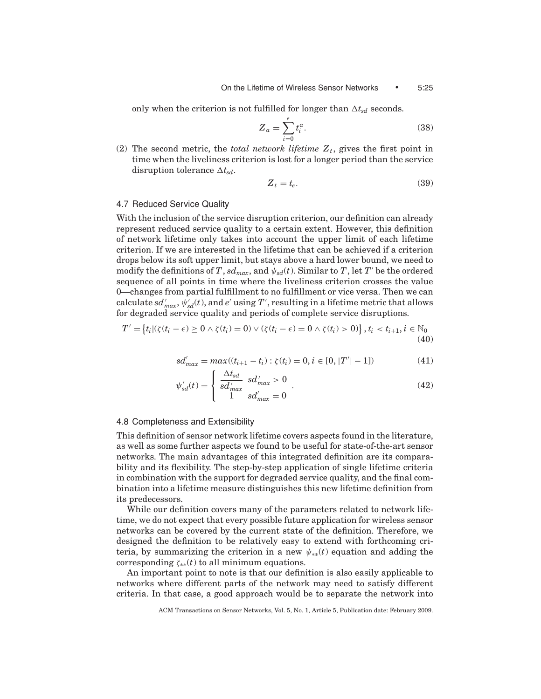only when the criterion is not fulfilled for longer than  $\Delta t_{sd}$  seconds.

$$
Z_a = \sum_{i=0}^{e} t_i^a. \tag{38}
$$

(2) The second metric, the *total network lifetime*  $Z_t$ , gives the first point in time when the liveliness criterion is lost for a longer period than the service disruption tolerance  $\Delta t_{sd}$ .

$$
Z_t = t_e. \tag{39}
$$

# 4.7 Reduced Service Quality

With the inclusion of the service disruption criterion, our definition can already represent reduced service quality to a certain extent. However, this definition of network lifetime only takes into account the upper limit of each lifetime criterion. If we are interested in the lifetime that can be achieved if a criterion drops below its soft upper limit, but stays above a hard lower bound, we need to modify the definitions of *T*,  $sd_{max}$ , and  $\psi_{sd}(t)$ . Similar to *T*, let *T'* be the ordered sequence of all points in time where the liveliness criterion crosses the value 0—changes from partial fulfillment to no fulfillment or vice versa. Then we can  $\mathit{calculate}\ sd'_{max},\psi'_{sd}(t),\text{and}\ e'\ \text{using}\ T',\text{resulting}\ \text{in}\ a\ \text{lifetime}\ \text{metric}\ \text{that}\ \text{allows}$ for degraded service quality and periods of complete service disruptions.

$$
T' = \left\{ t_i | (\zeta(t_i - \epsilon) \ge 0 \land \zeta(t_i) = 0) \lor (\zeta(t_i - \epsilon) = 0 \land \zeta(t_i) > 0) \right\}, t_i < t_{i+1}, i \in \mathbb{N}_0 \tag{40}
$$

$$
sd'_{max} = max((t_{i+1} - t_i) : \zeta(t_i) = 0, i \in [0, |T'| - 1])
$$
\n(41)

$$
\psi'_{sd}(t) = \begin{cases}\n\frac{\Delta t_{sd}}{sd'_{max}} & sd'_{max} > 0 \\
1 & sd'_{max} = 0\n\end{cases}.
$$
\n(42)

# 4.8 Completeness and Extensibility

This definition of sensor network lifetime covers aspects found in the literature, as well as some further aspects we found to be useful for state-of-the-art sensor networks. The main advantages of this integrated definition are its comparability and its flexibility. The step-by-step application of single lifetime criteria in combination with the support for degraded service quality, and the final combination into a lifetime measure distinguishes this new lifetime definition from its predecessors.

While our definition covers many of the parameters related to network lifetime, we do not expect that every possible future application for wireless sensor networks can be covered by the current state of the definition. Therefore, we designed the definition to be relatively easy to extend with forthcoming criteria, by summarizing the criterion in a new  $\psi_{**}(t)$  equation and adding the corresponding  $\zeta_{**}(t)$  to all minimum equations.

An important point to note is that our definition is also easily applicable to networks where different parts of the network may need to satisfy different criteria. In that case, a good approach would be to separate the network into

ACM Transactions on Sensor Networks, Vol. 5, No. 1, Article 5, Publication date: February 2009.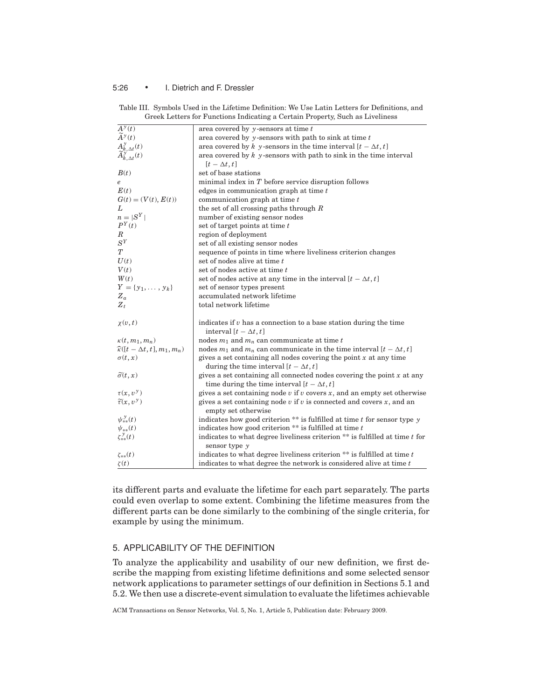# 5:26 • I. Dietrich and F. Dressler

|                       | Table III. Symbols Osed in the Lifetime Definition. We Ose Latin Letters for Definitions, and<br>Greek Letters for Functions Indicating a Certain Property, Such as Liveliness |
|-----------------------|--------------------------------------------------------------------------------------------------------------------------------------------------------------------------------|
| $A^{y}(t)$            | area covered by $\nu$ -sensors at time t                                                                                                                                       |
| $\widetilde{A}^y(t)$  | area covered by $y$ -sensors with path to sink at time $t$                                                                                                                     |
| $A^y_{k,\Delta t}(t)$ | area covered by k y-sensors in the time interval $[t - \Delta t, t]$                                                                                                           |
|                       | the contract of the contract of the contract of the contract of the contract of the contract of the contract of                                                                |

Table III. Symbols Used in the Lifetime Definition: We Use Latin Letters for Definitions, and

| $A^{y}(t)$                                                      | area covered by y-sensors with path to sink at time t                          |
|-----------------------------------------------------------------|--------------------------------------------------------------------------------|
|                                                                 | area covered by k y-sensors in the time interval $[t - \Delta t, t]$           |
| $A^y_{\substack{k,\Delta t\\ \widetilde{A}^y_{k,\Delta t}}(t)}$ | area covered by $k$ y-sensors with path to sink in the time interval           |
|                                                                 | $[t-\Delta t, t]$                                                              |
| B(t)                                                            | set of base stations                                                           |
| $\epsilon$                                                      | minimal index in $T$ before service disruption follows                         |
| E(t)                                                            | edges in communication graph at time t                                         |
| $G(t) = (V(t), E(t))$                                           | communication graph at time t                                                  |
| L                                                               | the set of all crossing paths through $R$                                      |
| $n =  S^Y $                                                     | number of existing sensor nodes                                                |
| $P^Y(t)$                                                        | set of target points at time t                                                 |
| $\boldsymbol{R}$                                                | region of deployment                                                           |
| $\mathcal{S}^Y$                                                 | set of all existing sensor nodes                                               |
| T                                                               | sequence of points in time where liveliness criterion changes                  |
| U(t)                                                            | set of nodes alive at time t                                                   |
| V(t)                                                            | set of nodes active at time t                                                  |
| W(t)                                                            | set of nodes active at any time in the interval $[t - \Delta t, t]$            |
| $Y = \{y_1, \ldots, y_k\}$                                      | set of sensor types present                                                    |
| $Z_a$                                                           | accumulated network lifetime                                                   |
| $Z_t$                                                           | total network lifetime                                                         |
|                                                                 |                                                                                |
| $\chi(v,t)$                                                     | indicates if $v$ has a connection to a base station during the time            |
|                                                                 | interval $[t - \Delta t, t]$                                                   |
| $\kappa(t, m_1, m_n)$                                           | nodes $m_1$ and $m_n$ can communicate at time t                                |
| $\widehat{\kappa}([t-\Delta t,t],m_1,m_n)$                      | nodes $m_1$ and $m_n$ can communicate in the time interval $[t - \Delta t, t]$ |
| $\sigma(t,x)$                                                   | gives a set containing all nodes covering the point $x$ at any time            |
|                                                                 | during the time interval $[t - \Delta t, t]$                                   |
| $\widetilde{\sigma}(t,x)$                                       | gives a set containing all connected nodes covering the point $x$ at any       |
|                                                                 | time during the time interval $[t - \Delta t, t]$                              |
| $\tau(x, v^y)$                                                  | gives a set containing node $v$ if $v$ covers $x$ , and an empty set otherwise |
| $\widetilde{\tau}(x, v^y)$                                      | gives a set containing node $v$ if $v$ is connected and covers $x$ , and an    |
|                                                                 | empty set otherwise                                                            |
| $\psi_{**}^y(t)$                                                | indicates how good criterion $**$ is fulfilled at time $t$ for sensor type $y$ |
| $\psi_{**}(t)$                                                  | indicates how good criterion $**$ is fulfilled at time t                       |
| $\zeta^y_{**}(t)$                                               | indicates to what degree liveliness criterion $**$ is fulfilled at time t for  |
|                                                                 | sensor type $y$                                                                |
| $\zeta_{**}(t)$                                                 | indicates to what degree liveliness criterion $**$ is fulfilled at time $t$    |
| $\zeta(t)$                                                      | indicates to what degree the network is considered alive at time t             |

its different parts and evaluate the lifetime for each part separately. The parts could even overlap to some extent. Combining the lifetime measures from the different parts can be done similarly to the combining of the single criteria, for example by using the minimum.

# 5. APPLICABILITY OF THE DEFINITION

To analyze the applicability and usability of our new definition, we first describe the mapping from existing lifetime definitions and some selected sensor network applications to parameter settings of our definition in Sections 5.1 and 5.2. We then use a discrete-event simulation to evaluate the lifetimes achievable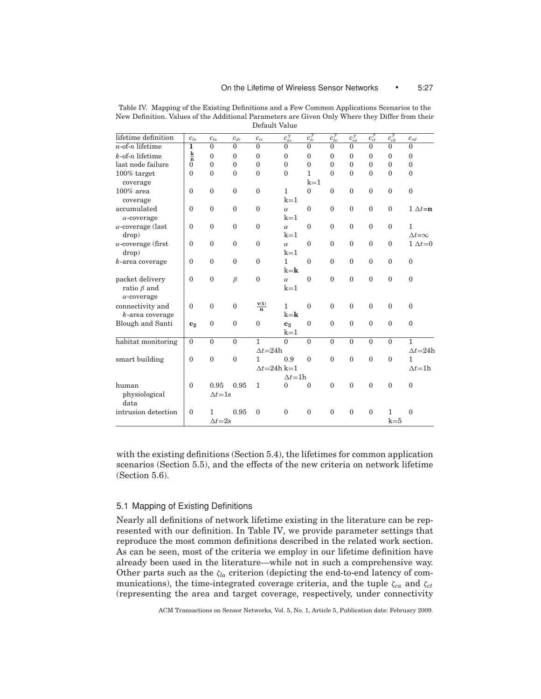| lifetime definition       | $\boldsymbol{c}_{ln}$           | $c_{la}$         | $c_{dr}$     | $c_{cc}$               | $c_{\mathit{ac}}^{\mathit{y}}$ | $c_{tc}^y$     | $c_{bc}^y$     | $c_{ca}^y$     | $c_{ct}^y$   | $c_{cb}^y$   | $c_{\mathfrak{s}d}$ |
|---------------------------|---------------------------------|------------------|--------------|------------------------|--------------------------------|----------------|----------------|----------------|--------------|--------------|---------------------|
| $n$ -of-n lifetime        | 1                               | $\theta$         | $\Omega$     | $\Omega$               | $\Omega$                       | $\Omega$       | $\theta$       | $\Omega$       | $\theta$     | $\Omega$     | $\overline{0}$      |
| $k$ -of-n lifetime        | $\frac{\mathbf{k}}{\mathbf{n}}$ | $\mathbf{0}$     | $\theta$     | $\theta$               | $\theta$                       | $\mathbf{0}$   | $\mathbf{0}$   | $\mathbf{0}$   | $\theta$     | $\theta$     | $\boldsymbol{0}$    |
| last node failure         | $\Omega$                        | $\mathbf{0}$     | $\theta$     | $\theta$               | $\theta$                       | $\theta$       | $\mathbf{0}$   | $\theta$       | $\theta$     | $\theta$     | $\boldsymbol{0}$    |
| $100\%$ target            | $\mathbf{0}$                    | $\mathbf{0}$     | $\theta$     | $\theta$               | $\theta$                       | 1              | $\mathbf{0}$   | $\mathbf{0}$   | $\theta$     | $\theta$     | $\mathbf{0}$        |
| coverage                  |                                 |                  |              |                        |                                | $k=1$          |                |                |              |              |                     |
| $100\%$ area              | $\Omega$                        | $\mathbf{0}$     | $\theta$     | $\mathbf{0}$           | $\mathbf{1}$                   | $\theta$       | $\theta$       | $\mathbf{0}$   | $\theta$     | $\theta$     | $\mathbf{0}$        |
| coverage                  |                                 |                  |              |                        | $k=1$                          |                |                |                |              |              |                     |
| accumulated               | $\Omega$                        | $\mathbf{0}$     | $\Omega$     | $\mathbf{0}$           | $\alpha$                       | $\Omega$       | $\mathbf{0}$   | $\mathbf{0}$   | $\theta$     | $\theta$     | $1 \Delta t = n$    |
| $\alpha$ -coverage        |                                 |                  |              |                        | $k=1$                          |                |                |                |              |              |                     |
| $\alpha$ -coverage (last  | $\mathbf{0}$                    | $\mathbf{0}$     | $\mathbf{0}$ | $\mathbf{0}$           | $\alpha$                       | $\mathbf{0}$   | $\overline{0}$ | $\mathbf{0}$   | $\mathbf{0}$ | $\mathbf{0}$ | $\mathbf{1}$        |
| drop)                     |                                 |                  |              |                        | $k=1$                          |                |                |                |              |              | $\Delta t = \infty$ |
| $\alpha$ -coverage (first | $\Omega$                        | $\mathbf{0}$     | $\theta$     | $\mathbf{0}$           | $\alpha$                       | $\Omega$       | $\mathbf{0}$   | $\mathbf{0}$   | $\mathbf{0}$ | $\theta$     | $1 \Delta t = 0$    |
| drop)                     |                                 |                  |              |                        | $k=1$                          |                |                |                |              |              |                     |
| $k$ -area coverage        | $\mathbf{0}$                    | $\mathbf{0}$     | $\theta$     | $\mathbf{0}$           | $\mathbf{1}$                   | $\theta$       | $\overline{0}$ | $\mathbf{0}$   | $\mathbf{0}$ | $\theta$     | $\mathbf{0}$        |
|                           |                                 |                  |              |                        | $k=k$                          |                |                |                |              |              |                     |
| packet delivery           | $\Omega$                        | $\theta$         | $\beta$      | $\theta$               | $\alpha$                       | $\Omega$       | $\theta$       | $\theta$       | $\theta$     | $\theta$     | $\mathbf{0}$        |
| ratio $\beta$ and         |                                 |                  |              |                        | $k=1$                          |                |                |                |              |              |                     |
| $\alpha$ -coverage        |                                 |                  |              |                        |                                |                |                |                |              |              |                     |
| connectivity and          | $\Omega$                        | $\mathbf{0}$     | $\mathbf{0}$ | $\frac{v(t)}{n}$       | $\mathbf{1}$                   | $\theta$       | $\overline{0}$ | $\mathbf{0}$   | $\Omega$     | $\theta$     | $\mathbf{0}$        |
| $k$ -area coverage        |                                 |                  |              |                        | $k=k$                          |                |                |                |              |              |                     |
| <b>Blough and Santi</b>   | $c2$                            | $\mathbf{0}$     | $\mathbf{0}$ | $\theta$               | $c3$                           | $\mathbf{0}$   | $\mathbf{0}$   | $\mathbf{0}$   | $\theta$     | $\mathbf{0}$ | $\mathbf{0}$        |
|                           |                                 |                  |              |                        | $k=1$                          |                |                |                |              |              |                     |
| habitat monitoring        | $\theta$                        | $\theta$         | $\theta$     | $\mathbf{1}$           | $\theta$                       | $\overline{0}$ | $\overline{0}$ | $\overline{0}$ | $\theta$     | $\theta$     | 1                   |
|                           |                                 |                  |              | $\Delta t = 24h$       |                                |                |                |                |              |              | $\Delta t = 24h$    |
| smart building            | $\mathbf{0}$                    | $\mathbf{0}$     | $\mathbf{0}$ | 1                      | 0.9                            | $\theta$       | $\overline{0}$ | $\mathbf{0}$   | $\mathbf{0}$ | $\mathbf{0}$ | 1                   |
|                           |                                 |                  |              | $\Delta t = 24h k = 1$ |                                |                |                |                |              |              | $\Delta t = 1$ h    |
|                           |                                 |                  |              |                        | $\Delta t = 1$ h               |                |                |                |              |              |                     |
| human                     | $\Omega$                        | 0.95             | 0.95         | $\mathbf{1}$           | $\theta$                       | $\theta$       | $\theta$       | $\mathbf{0}$   | $\theta$     | $\theta$     | $\mathbf{0}$        |
| physiological             |                                 | $\Delta t = 1$ s |              |                        |                                |                |                |                |              |              |                     |
| data                      |                                 |                  |              |                        |                                |                |                |                |              |              |                     |
| intrusion detection       | $\mathbf{0}$                    | 1                | 0.95         | $\Omega$               | $\Omega$                       | $\theta$       | $\mathbf{0}$   | $\theta$       | $\theta$     | 1            | $\mathbf{0}$        |
|                           |                                 | $\Delta t = 2s$  |              |                        |                                |                |                |                |              | $k=5$        |                     |

Table IV. Mapping of the Existing Definitions and a Few Common Applications Scenarios to the New Definition. Values of the Additional Parameters are Given Only Where they Differ from their Default Value

with the existing definitions (Section 5.4), the lifetimes for common application scenarios (Section 5.5), and the effects of the new criteria on network lifetime (Section 5.6).

# 5.1 Mapping of Existing Definitions

Nearly all definitions of network lifetime existing in the literature can be represented with our definition. In Table IV, we provide parameter settings that reproduce the most common definitions described in the related work section. As can be seen, most of the criteria we employ in our lifetime definition have already been used in the literature—while not in such a comprehensive way. Other parts such as the ζ*la* criterion (depicting the end-to-end latency of communications), the time-integrated coverage criteria, and the tuple ζ*ca* and ζ*ct* (representing the area and target coverage, respectively, under connectivity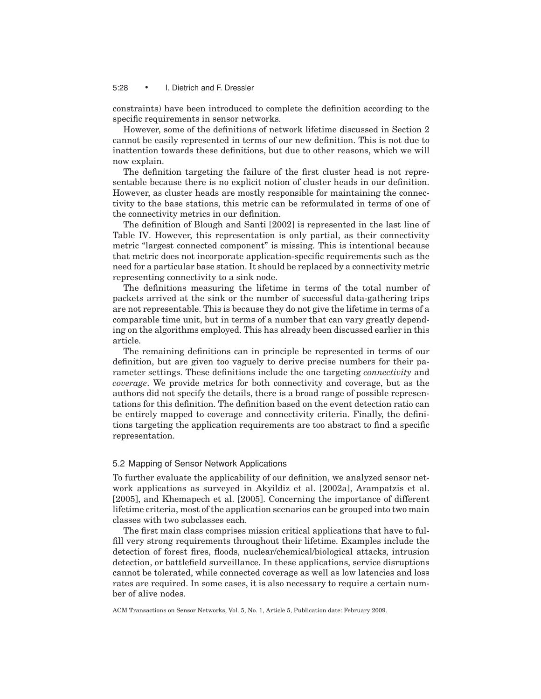## 5:28 • I. Dietrich and F. Dressler

constraints) have been introduced to complete the definition according to the specific requirements in sensor networks.

However, some of the definitions of network lifetime discussed in Section 2 cannot be easily represented in terms of our new definition. This is not due to inattention towards these definitions, but due to other reasons, which we will now explain.

The definition targeting the failure of the first cluster head is not representable because there is no explicit notion of cluster heads in our definition. However, as cluster heads are mostly responsible for maintaining the connectivity to the base stations, this metric can be reformulated in terms of one of the connectivity metrics in our definition.

The definition of Blough and Santi [2002] is represented in the last line of Table IV. However, this representation is only partial, as their connectivity metric "largest connected component" is missing. This is intentional because that metric does not incorporate application-specific requirements such as the need for a particular base station. It should be replaced by a connectivity metric representing connectivity to a sink node.

The definitions measuring the lifetime in terms of the total number of packets arrived at the sink or the number of successful data-gathering trips are not representable. This is because they do not give the lifetime in terms of a comparable time unit, but in terms of a number that can vary greatly depending on the algorithms employed. This has already been discussed earlier in this article.

The remaining definitions can in principle be represented in terms of our definition, but are given too vaguely to derive precise numbers for their parameter settings. These definitions include the one targeting *connectivity* and *coverage*. We provide metrics for both connectivity and coverage, but as the authors did not specify the details, there is a broad range of possible representations for this definition. The definition based on the event detection ratio can be entirely mapped to coverage and connectivity criteria. Finally, the definitions targeting the application requirements are too abstract to find a specific representation.

# 5.2 Mapping of Sensor Network Applications

To further evaluate the applicability of our definition, we analyzed sensor network applications as surveyed in Akyildiz et al. [2002a], Arampatzis et al. [2005], and Khemapech et al. [2005]. Concerning the importance of different lifetime criteria, most of the application scenarios can be grouped into two main classes with two subclasses each.

The first main class comprises mission critical applications that have to fulfill very strong requirements throughout their lifetime. Examples include the detection of forest fires, floods, nuclear/chemical/biological attacks, intrusion detection, or battlefield surveillance. In these applications, service disruptions cannot be tolerated, while connected coverage as well as low latencies and loss rates are required. In some cases, it is also necessary to require a certain number of alive nodes.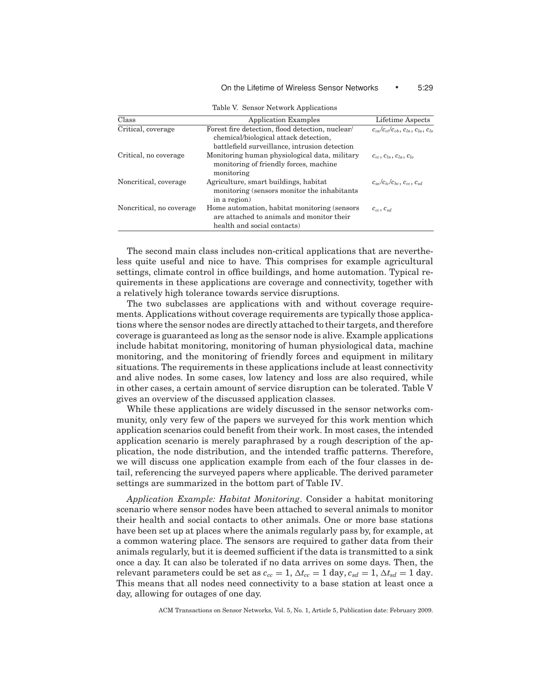#### On the Lifetime of Wireless Sensor Networks • 5:29

| Class                     | <b>Application Examples</b>                                                                                               | Lifetime Aspects                                        |
|---------------------------|---------------------------------------------------------------------------------------------------------------------------|---------------------------------------------------------|
| Critical, coverage        | Forest fire detection, flood detection, nuclear/                                                                          | $c_{ca}/c_{ct}/c_{cb}$ , $c_{ln}$ , $c_{la}$ , $c_{lo}$ |
|                           | chemical/biological attack detection,                                                                                     |                                                         |
|                           | battlefield surveillance, intrusion detection                                                                             |                                                         |
| Critical, no coverage     | Monitoring human physiological data, military<br>monitoring of friendly forces, machine<br>monitoring                     | $c_{cc}, c_{ln}, c_{la}, c_{lo}$                        |
| Noncritical, coverage     | Agriculture, smart buildings, habitat<br>monitoring (sensors monitor the inhabitants)<br>in a region)                     | $c_{ac}/c_{tc}/c_{bc}$ , $c_{cc}$ , $c_{cd}$            |
| Noncritical, no coverage. | Home automation, habitat monitoring (sensors)<br>are attached to animals and monitor their<br>health and social contacts) | $c_{cc}$ , $c_{sd}$                                     |

Table V. Sensor Network Applications

The second main class includes non-critical applications that are nevertheless quite useful and nice to have. This comprises for example agricultural settings, climate control in office buildings, and home automation. Typical requirements in these applications are coverage and connectivity, together with a relatively high tolerance towards service disruptions.

The two subclasses are applications with and without coverage requirements. Applications without coverage requirements are typically those applications where the sensor nodes are directly attached to their targets, and therefore coverage is guaranteed as long as the sensor node is alive. Example applications include habitat monitoring, monitoring of human physiological data, machine monitoring, and the monitoring of friendly forces and equipment in military situations. The requirements in these applications include at least connectivity and alive nodes. In some cases, low latency and loss are also required, while in other cases, a certain amount of service disruption can be tolerated. Table V gives an overview of the discussed application classes.

While these applications are widely discussed in the sensor networks community, only very few of the papers we surveyed for this work mention which application scenarios could benefit from their work. In most cases, the intended application scenario is merely paraphrased by a rough description of the application, the node distribution, and the intended traffic patterns. Therefore, we will discuss one application example from each of the four classes in detail, referencing the surveyed papers where applicable. The derived parameter settings are summarized in the bottom part of Table IV.

*Application Example: Habitat Monitoring*. Consider a habitat monitoring scenario where sensor nodes have been attached to several animals to monitor their health and social contacts to other animals. One or more base stations have been set up at places where the animals regularly pass by, for example, at a common watering place. The sensors are required to gather data from their animals regularly, but it is deemed sufficient if the data is transmitted to a sink once a day. It can also be tolerated if no data arrives on some days. Then, the relevant parameters could be set as  $c_{cc} = 1$ ,  $\Delta t_{cc} = 1$  day,  $c_{sd} = 1$ ,  $\Delta t_{sd} = 1$  day. This means that all nodes need connectivity to a base station at least once a day, allowing for outages of one day.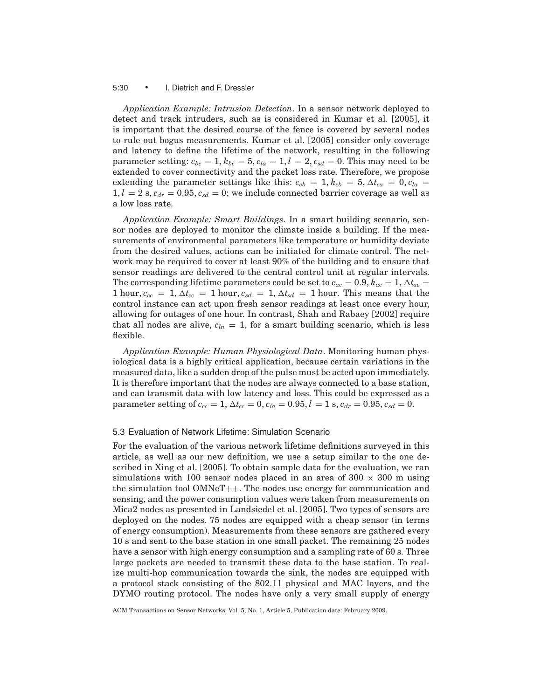#### 5:30 • I. Dietrich and F. Dressler

*Application Example: Intrusion Detection*. In a sensor network deployed to detect and track intruders, such as is considered in Kumar et al. [2005], it is important that the desired course of the fence is covered by several nodes to rule out bogus measurements. Kumar et al. [2005] consider only coverage and latency to define the lifetime of the network, resulting in the following parameter setting:  $c_{bc} = 1$ ,  $k_{bc} = 5$ ,  $c_{la} = 1$ ,  $l = 2$ ,  $c_{sd} = 0$ . This may need to be extended to cover connectivity and the packet loss rate. Therefore, we propose extending the parameter settings like this:  $c_{cb} = 1$ ,  $k_{cb} = 5$ ,  $\Delta t_{ca} = 0$ ,  $c_{la} = 1$  $1, l = 2$  s,  $c_{dr} = 0.95, c_{sd} = 0$ ; we include connected barrier coverage as well as a low loss rate.

*Application Example: Smart Buildings*. In a smart building scenario, sensor nodes are deployed to monitor the climate inside a building. If the measurements of environmental parameters like temperature or humidity deviate from the desired values, actions can be initiated for climate control. The network may be required to cover at least 90% of the building and to ensure that sensor readings are delivered to the central control unit at regular intervals. The corresponding lifetime parameters could be set to  $c_{ac} = 0.9$ ,  $k_{ac} = 1$ ,  $\Delta t_{ac} = 1$ 1 hour,  $c_{cc} = 1$ ,  $\Delta t_{cc} = 1$  hour,  $c_{sd} = 1$ ,  $\Delta t_{sd} = 1$  hour. This means that the control instance can act upon fresh sensor readings at least once every hour, allowing for outages of one hour. In contrast, Shah and Rabaey [2002] require that all nodes are alive,  $c_{ln} = 1$ , for a smart building scenario, which is less flexible.

*Application Example: Human Physiological Data*. Monitoring human physiological data is a highly critical application, because certain variations in the measured data, like a sudden drop of the pulse must be acted upon immediately. It is therefore important that the nodes are always connected to a base station, and can transmit data with low latency and loss. This could be expressed as a parameter setting of  $c_{cc} = 1$ ,  $\Delta t_{cc} = 0$ ,  $c_{la} = 0.95$ ,  $l = 1$  s,  $c_{dr} = 0.95$ ,  $c_{sd} = 0$ .

# 5.3 Evaluation of Network Lifetime: Simulation Scenario

For the evaluation of the various network lifetime definitions surveyed in this article, as well as our new definition, we use a setup similar to the one described in Xing et al. [2005]. To obtain sample data for the evaluation, we ran simulations with 100 sensor nodes placed in an area of  $300 \times 300$  m using the simulation tool  $OMNeT_{++}$ . The nodes use energy for communication and sensing, and the power consumption values were taken from measurements on Mica2 nodes as presented in Landsiedel et al. [2005]. Two types of sensors are deployed on the nodes. 75 nodes are equipped with a cheap sensor (in terms of energy consumption). Measurements from these sensors are gathered every 10 s and sent to the base station in one small packet. The remaining 25 nodes have a sensor with high energy consumption and a sampling rate of 60 s. Three large packets are needed to transmit these data to the base station. To realize multi-hop communication towards the sink, the nodes are equipped with a protocol stack consisting of the 802.11 physical and MAC layers, and the DYMO routing protocol. The nodes have only a very small supply of energy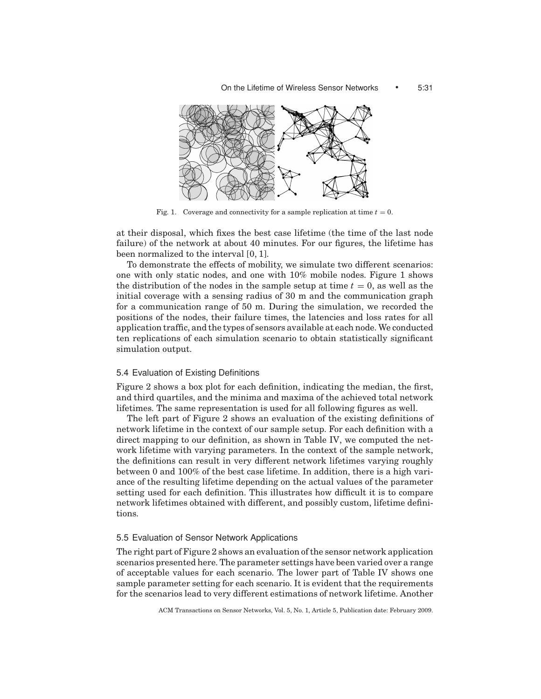## On the Lifetime of Wireless Sensor Networks • 5:31



Fig. 1. Coverage and connectivity for a sample replication at time  $t = 0$ .

at their disposal, which fixes the best case lifetime (the time of the last node failure) of the network at about 40 minutes. For our figures, the lifetime has been normalized to the interval [0, 1].

To demonstrate the effects of mobility, we simulate two different scenarios: one with only static nodes, and one with 10% mobile nodes. Figure 1 shows the distribution of the nodes in the sample setup at time  $t = 0$ , as well as the initial coverage with a sensing radius of 30 m and the communication graph for a communication range of 50 m. During the simulation, we recorded the positions of the nodes, their failure times, the latencies and loss rates for all application traffic, and the types of sensors available at each node. We conducted ten replications of each simulation scenario to obtain statistically significant simulation output.

# 5.4 Evaluation of Existing Definitions

Figure 2 shows a box plot for each definition, indicating the median, the first, and third quartiles, and the minima and maxima of the achieved total network lifetimes. The same representation is used for all following figures as well.

The left part of Figure 2 shows an evaluation of the existing definitions of network lifetime in the context of our sample setup. For each definition with a direct mapping to our definition, as shown in Table IV, we computed the network lifetime with varying parameters. In the context of the sample network, the definitions can result in very different network lifetimes varying roughly between 0 and 100% of the best case lifetime. In addition, there is a high variance of the resulting lifetime depending on the actual values of the parameter setting used for each definition. This illustrates how difficult it is to compare network lifetimes obtained with different, and possibly custom, lifetime definitions.

# 5.5 Evaluation of Sensor Network Applications

The right part of Figure 2 shows an evaluation of the sensor network application scenarios presented here. The parameter settings have been varied over a range of acceptable values for each scenario. The lower part of Table IV shows one sample parameter setting for each scenario. It is evident that the requirements for the scenarios lead to very different estimations of network lifetime. Another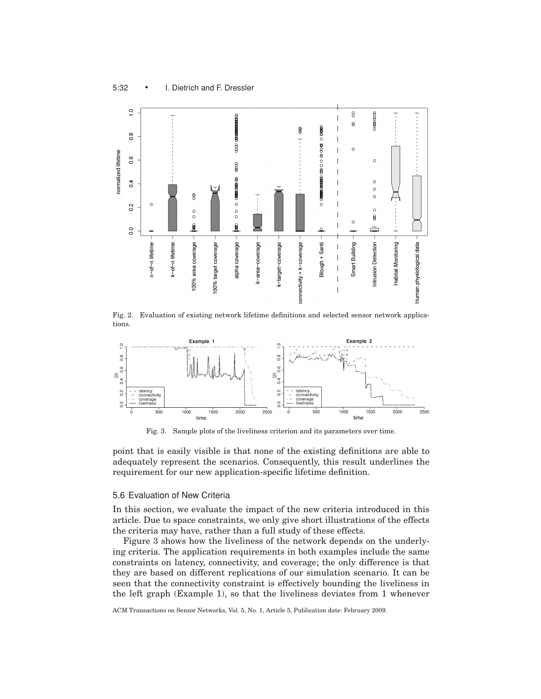#### 5:32 • I. Dietrich and F. Dressler



Fig. 2. Evaluation of existing network lifetime definitions and selected sensor network applications.



Fig. 3. Sample plots of the liveliness criterion and its parameters over time.

point that is easily visible is that none of the existing definitions are able to adequately represent the scenarios. Consequently, this result underlines the requirement for our new application-specific lifetime definition.

# 5.6 Evaluation of New Criteria

In this section, we evaluate the impact of the new criteria introduced in this article. Due to space constraints, we only give short illustrations of the effects the criteria may have, rather than a full study of these effects.

Figure 3 shows how the liveliness of the network depends on the underlying criteria. The application requirements in both examples include the same constraints on latency, connectivity, and coverage; the only difference is that they are based on different replications of our simulation scenario. It can be seen that the connectivity constraint is effectively bounding the liveliness in the left graph (Example 1), so that the liveliness deviates from 1 whenever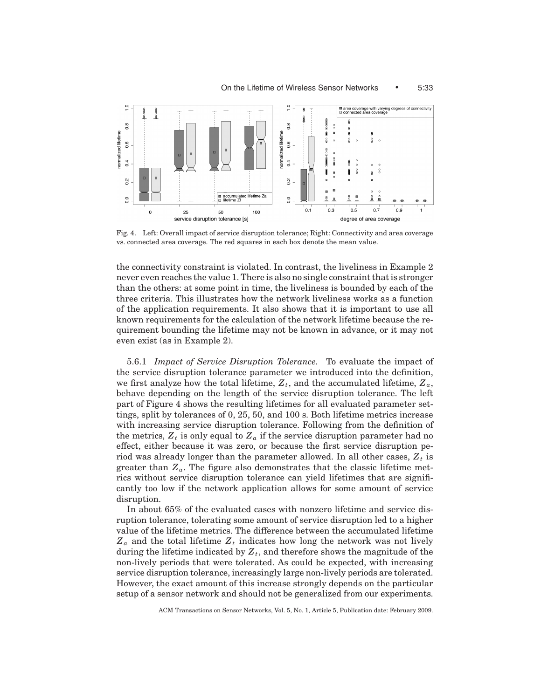

Fig. 4. Left: Overall impact of service disruption tolerance; Right: Connectivity and area coverage vs. connected area coverage. The red squares in each box denote the mean value.

the connectivity constraint is violated. In contrast, the liveliness in Example 2 never even reaches the value 1. There is also no single constraint that is stronger than the others: at some point in time, the liveliness is bounded by each of the three criteria. This illustrates how the network liveliness works as a function of the application requirements. It also shows that it is important to use all known requirements for the calculation of the network lifetime because the requirement bounding the lifetime may not be known in advance, or it may not even exist (as in Example 2).

5.6.1 *Impact of Service Disruption Tolerance.* To evaluate the impact of the service disruption tolerance parameter we introduced into the definition, we first analyze how the total lifetime,  $Z_t$ , and the accumulated lifetime,  $Z_a$ , behave depending on the length of the service disruption tolerance. The left part of Figure 4 shows the resulting lifetimes for all evaluated parameter settings, split by tolerances of 0, 25, 50, and 100 s. Both lifetime metrics increase with increasing service disruption tolerance. Following from the definition of the metrics,  $Z_t$  is only equal to  $Z_a$  if the service disruption parameter had no effect, either because it was zero, or because the first service disruption period was already longer than the parameter allowed. In all other cases,  $Z_t$  is greater than  $Z_a$ . The figure also demonstrates that the classic lifetime metrics without service disruption tolerance can yield lifetimes that are significantly too low if the network application allows for some amount of service disruption.

In about 65% of the evaluated cases with nonzero lifetime and service disruption tolerance, tolerating some amount of service disruption led to a higher value of the lifetime metrics. The difference between the accumulated lifetime  $Z_a$  and the total lifetime  $Z_t$  indicates how long the network was not lively during the lifetime indicated by  $Z_t$ , and therefore shows the magnitude of the non-lively periods that were tolerated. As could be expected, with increasing service disruption tolerance, increasingly large non-lively periods are tolerated. However, the exact amount of this increase strongly depends on the particular setup of a sensor network and should not be generalized from our experiments.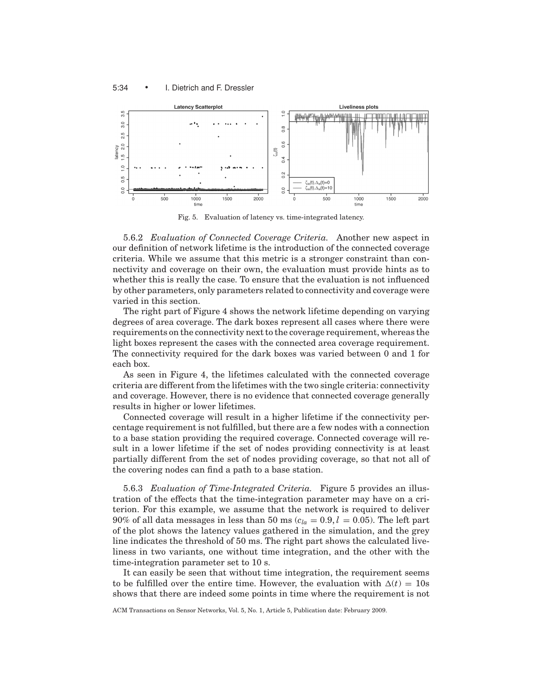#### 5:34 • I. Dietrich and F. Dressler



Fig. 5. Evaluation of latency vs. time-integrated latency.

5.6.2 *Evaluation of Connected Coverage Criteria.* Another new aspect in our definition of network lifetime is the introduction of the connected coverage criteria. While we assume that this metric is a stronger constraint than connectivity and coverage on their own, the evaluation must provide hints as to whether this is really the case. To ensure that the evaluation is not influenced by other parameters, only parameters related to connectivity and coverage were varied in this section.

The right part of Figure 4 shows the network lifetime depending on varying degrees of area coverage. The dark boxes represent all cases where there were requirements on the connectivity next to the coverage requirement, whereas the light boxes represent the cases with the connected area coverage requirement. The connectivity required for the dark boxes was varied between 0 and 1 for each box.

As seen in Figure 4, the lifetimes calculated with the connected coverage criteria are different from the lifetimes with the two single criteria: connectivity and coverage. However, there is no evidence that connected coverage generally results in higher or lower lifetimes.

Connected coverage will result in a higher lifetime if the connectivity percentage requirement is not fulfilled, but there are a few nodes with a connection to a base station providing the required coverage. Connected coverage will result in a lower lifetime if the set of nodes providing connectivity is at least partially different from the set of nodes providing coverage, so that not all of the covering nodes can find a path to a base station.

5.6.3 *Evaluation of Time-Integrated Criteria.* Figure 5 provides an illustration of the effects that the time-integration parameter may have on a criterion. For this example, we assume that the network is required to deliver 90% of all data messages in less than 50 ms  $(c_{la} = 0.9, l = 0.05)$ . The left part of the plot shows the latency values gathered in the simulation, and the grey line indicates the threshold of 50 ms. The right part shows the calculated liveliness in two variants, one without time integration, and the other with the time-integration parameter set to 10 s.

It can easily be seen that without time integration, the requirement seems to be fulfilled over the entire time. However, the evaluation with  $\Delta(t) = 10$ s shows that there are indeed some points in time where the requirement is not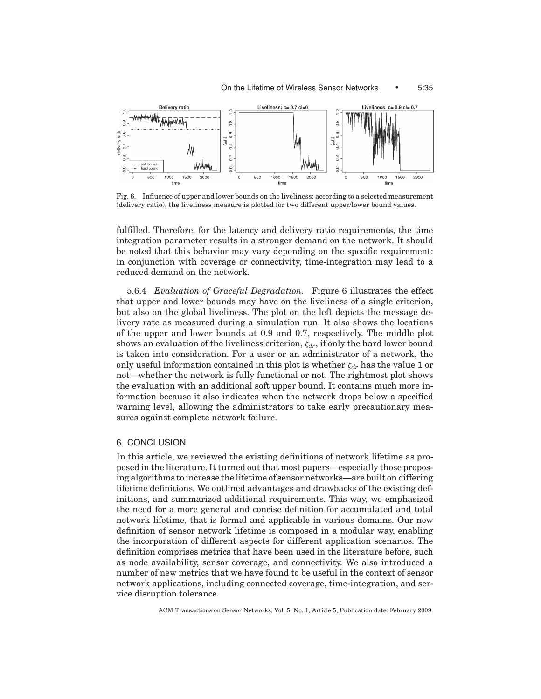

Fig. 6. Influence of upper and lower bounds on the liveliness: according to a selected measurement (delivery ratio), the liveliness measure is plotted for two different upper/lower bound values.

fulfilled. Therefore, for the latency and delivery ratio requirements, the time integration parameter results in a stronger demand on the network. It should be noted that this behavior may vary depending on the specific requirement: in conjunction with coverage or connectivity, time-integration may lead to a reduced demand on the network.

5.6.4 *Evaluation of Graceful Degradation.* Figure 6 illustrates the effect that upper and lower bounds may have on the liveliness of a single criterion, but also on the global liveliness. The plot on the left depicts the message delivery rate as measured during a simulation run. It also shows the locations of the upper and lower bounds at 0.9 and 0.7, respectively. The middle plot shows an evaluation of the liveliness criterion,  $\zeta_{dr}$ , if only the hard lower bound is taken into consideration. For a user or an administrator of a network, the only useful information contained in this plot is whether ζ*dr* has the value 1 or not—whether the network is fully functional or not. The rightmost plot shows the evaluation with an additional soft upper bound. It contains much more information because it also indicates when the network drops below a specified warning level, allowing the administrators to take early precautionary measures against complete network failure.

# 6. CONCLUSION

In this article, we reviewed the existing definitions of network lifetime as proposed in the literature. It turned out that most papers—especially those proposing algorithms to increase the lifetime of sensor networks—are built on differing lifetime definitions. We outlined advantages and drawbacks of the existing definitions, and summarized additional requirements. This way, we emphasized the need for a more general and concise definition for accumulated and total network lifetime, that is formal and applicable in various domains. Our new definition of sensor network lifetime is composed in a modular way, enabling the incorporation of different aspects for different application scenarios. The definition comprises metrics that have been used in the literature before, such as node availability, sensor coverage, and connectivity. We also introduced a number of new metrics that we have found to be useful in the context of sensor network applications, including connected coverage, time-integration, and service disruption tolerance.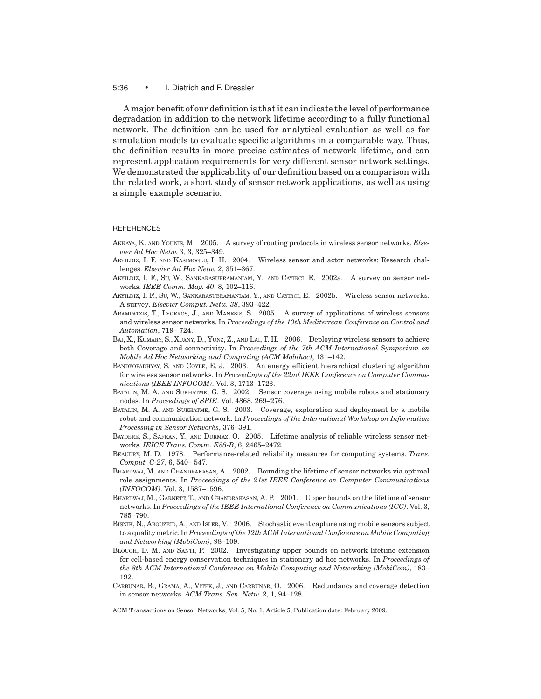#### 5:36 • I. Dietrich and F. Dressler

A major benefit of our definition is that it can indicate the level of performance degradation in addition to the network lifetime according to a fully functional network. The definition can be used for analytical evaluation as well as for simulation models to evaluate specific algorithms in a comparable way. Thus, the definition results in more precise estimates of network lifetime, and can represent application requirements for very different sensor network settings. We demonstrated the applicability of our definition based on a comparison with the related work, a short study of sensor network applications, as well as using a simple example scenario.

## **REFERENCES**

- AKKAYA, K. AND YOUNIS, M. 2005. A survey of routing protocols in wireless sensor networks. *Elsevier Ad Hoc Netw. 3*, 3, 325–349.
- AKYILDIZ, I. F. AND KASIMOGLU, I. H. 2004. Wireless sensor and actor networks: Research challenges. *Elsevier Ad Hoc Netw. 2*, 351–367.
- AKYILDIZ, I. F., SU, W., SANKARASUBRAMANIAM, Y., AND CAYIRCI, E. 2002a. A survey on sensor networks. *IEEE Comm. Mag. 40*, 8, 102–116.
- AKYILDIZ, I. F., SU, W., SANKARASUBRAMANIAM, Y., AND CAYIRCI, E. 2002b. Wireless sensor networks: A survey. *Elsevier Comput. Netw. 38*, 393–422.
- ARAMPATZIS, T., LYGEROS, J., AND MANESIS, S. 2005. A survey of applications of wireless sensors and wireless sensor networks. In *Proceedings of the 13th Mediterrean Conference on Control and Automation*, 719– 724.
- BAI, X., KUMARY, S., XUANY, D., YUNZ, Z., AND LAI, T. H. 2006. Deploying wireless sensors to achieve both Coverage and connectivity. In *Proceedings of the 7th ACM International Symposium on Mobile Ad Hoc Networking and Computing (ACM Mobihoc)*, 131–142.
- BANDYOPADHYAY, S. AND COYLE, E. J. 2003. An energy efficient hierarchical clustering algorithm for wireless sensor networks. In *Proceedings of the 22nd IEEE Conference on Computer Communications (IEEE INFOCOM)*. Vol. 3, 1713–1723.
- BATALIN, M. A. AND SUKHATME, G. S. 2002. Sensor coverage using mobile robots and stationary nodes. In *Proceedings of SPIE*. Vol. 4868, 269–276.
- BATALIN, M. A. AND SUKHATME, G. S. 2003. Coverage, exploration and deployment by a mobile robot and communication network. In *Proceedings of the International Workshop on Information Processing in Sensor Networks*, 376–391.
- BAYDERE, S., SAFKAN, Y., AND DURMAZ, O. 2005. Lifetime analysis of reliable wireless sensor networks. *IEICE Trans. Comm. E88-B*, 6, 2465–2472.
- BEAUDRY, M. D. 1978. Performance-related reliability measures for computing systems. *Trans. Comput. C-27*, 6, 540– 547.
- BHARDWAJ, M. AND CHANDRAKASAN, A. 2002. Bounding the lifetime of sensor networks via optimal role assignments. In *Proceedings of the 21st IEEE Conference on Computer Communications (INFOCOM)*. Vol. 3, 1587–1596.
- BHARDWAJ, M., GARNETT, T., AND CHANDRAKASAN, A. P. 2001. Upper bounds on the lifetime of sensor networks. In *Proceedings of the IEEE International Conference on Communications (ICC)*. Vol. 3, 785–790.
- BISNIK, N., ABOUZEID, A., AND ISLER, V. 2006. Stochastic event capture using mobile sensors subject to a quality metric. In *Proceedings of the 12th ACM International Conference on Mobile Computing and Networking (MobiCom)*, 98–109.
- BLOUGH, D. M. AND SANTI, P. 2002. Investigating upper bounds on network lifetime extension for cell-based energy conservation techniques in stationary ad hoc networks. In *Proceedings of the 8th ACM International Conference on Mobile Computing and Networking (MobiCom)*, 183– 192.
- CARBUNAR, B., GRAMA, A., VITEK, J., AND CARBUNAR, O. 2006. Redundancy and coverage detection in sensor networks. *ACM Trans. Sen. Netw. 2*, 1, 94–128.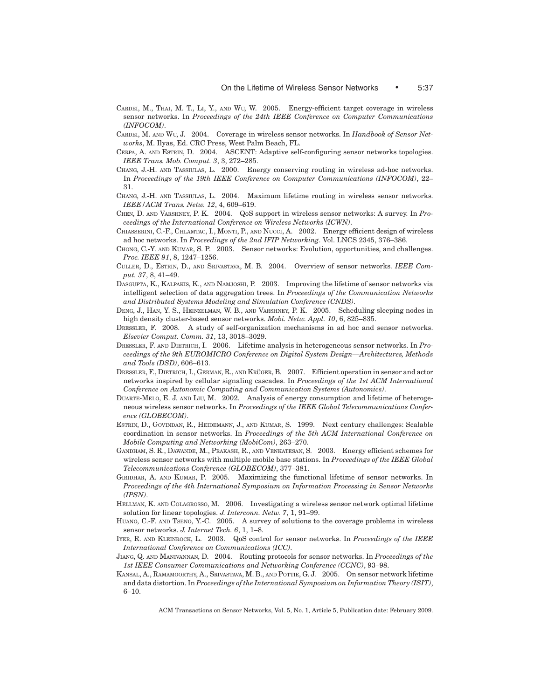- CARDEI, M., THAI, M. T., LI, Y., AND WU, W. 2005. Energy-efficient target coverage in wireless sensor networks. In *Proceedings of the 24th IEEE Conference on Computer Communications (INFOCOM)*.
- CARDEI, M. AND WU, J. 2004. Coverage in wireless sensor networks. In *Handbook of Sensor Networks*, M. Ilyas, Ed. CRC Press, West Palm Beach, FL.
- CERPA, A. AND ESTRIN, D. 2004. ASCENT: Adaptive self-configuring sensor networks topologies. *IEEE Trans. Mob. Comput. 3*, 3, 272–285.
- CHANG, J.-H. AND TASSIULAS, L. 2000. Energy conserving routing in wireless ad-hoc networks. In *Proceedings of the 19th IEEE Conference on Computer Communications (INFOCOM)*, 22– 31.
- CHANG, J.-H. AND TASSIULAS, L. 2004. Maximum lifetime routing in wireless sensor networks. *IEEE/ACM Trans. Netw. 12*, 4, 609–619.
- CHEN, D. AND VARSHNEY, P. K. 2004. QoS support in wireless sensor networks: A survey. In *Proceedings of the International Conference on Wireless Networks (ICWN)*.
- CHIASSERINI, C.-F., CHLAMTAC, I., MONTI, P., AND NUCCI, A. 2002. Energy efficient design of wireless ad hoc networks. In *Proceedings of the 2nd IFIP Networking*. Vol. LNCS 2345, 376–386.
- CHONG, C.-Y. AND KUMAR, S. P. 2003. Sensor networks: Evolution, opportunities, and challenges. *Proc. IEEE 91*, 8, 1247–1256.
- CULLER, D., ESTRIN, D., AND SRIVASTAVA, M. B. 2004. Overview of sensor networks. *IEEE Comput. 37*, 8, 41–49.
- DASGUPTA, K., KALPAKIS, K., AND NAMJOSHI, P. 2003. Improving the lifetime of sensor networks via intelligent selection of data aggregation trees. In *Proceedings of the Communication Networks and Distributed Systems Modeling and Simulation Conference (CNDS)*.
- DENG, J., HAN, Y. S., HEINZELMAN, W. B., AND VARSHNEY, P. K. 2005. Scheduling sleeping nodes in high density cluster-based sensor networks. *Mobi. Netw. Appl. 10*, 6, 825–835.
- DRESSLER, F. 2008. A study of self-organization mechanisms in ad hoc and sensor networks. *Elsevier Comput. Comm. 31*, 13, 3018–3029.
- DRESSLER, F. AND DIETRICH, I. 2006. Lifetime analysis in heterogeneous sensor networks. In *Proceedings of the 9th EUROMICRO Conference on Digital System Design—Architectures, Methods and Tools (DSD)*, 606–613.
- DRESSLER, F., DIETRICH, I., GERMAN, R., AND KRÜGER, B. 2007. Efficient operation in sensor and actor networks inspired by cellular signaling cascades. In *Proceedings of the 1st ACM International Conference on Autonomic Computing and Communication Systems (Autonomics)*.
- DUARTE-MELO, E. J. AND LIU, M. 2002. Analysis of energy consumption and lifetime of heterogeneous wireless sensor networks. In *Proceedings of the IEEE Global Telecommunications Conference (GLOBECOM)*.
- ESTRIN, D., GOVINDAN, R., HEIDEMANN, J., AND KUMAR, S. 1999. Next century challenges: Scalable coordination in sensor networks. In *Proceedings of the 5th ACM International Conference on Mobile Computing and Networking (MobiCom)*, 263–270.
- GANDHAM, S. R., DAWANDE, M., PRAKASH, R., AND VENKATESAN, S. 2003. Energy efficient schemes for wireless sensor networks with multiple mobile base stations. In *Proceedings of the IEEE Global Telecommunications Conference (GLOBECOM)*, 377–381.
- GIRIDHAR, A. AND KUMAR, P. 2005. Maximizing the functional lifetime of sensor networks. In *Proceedings of the 4th International Symposium on Information Processing in Sensor Networks (IPSN)*.
- HELLMAN, K. AND COLAGROSSO, M. 2006. Investigating a wireless sensor network optimal lifetime solution for linear topologies. *J. Interconn. Netw. 7*, 1, 91–99.
- HUANG, C.-F. AND TSENG, Y.-C. 2005. A survey of solutions to the coverage problems in wireless sensor networks. *J. Internet Tech. 6*, 1, 1–8.
- IYER, R. AND KLEINROCK, L. 2003. QoS control for sensor networks. In *Proceedings of the IEEE International Conference on Communications (ICC)*.
- JIANG, Q. AND MANIVANNAN, D. 2004. Routing protocols for sensor networks. In *Proceedings of the 1st IEEE Consumer Communications and Networking Conference (CCNC)*, 93–98.
- KANSAL, A., RAMAMOORTHY, A., SRIVASTAVA, M. B., AND POTTIE, G. J. 2005. On sensor network lifetime and data distortion. In *Proceedings of the International Symposium on Information Theory (ISIT)*, 6–10.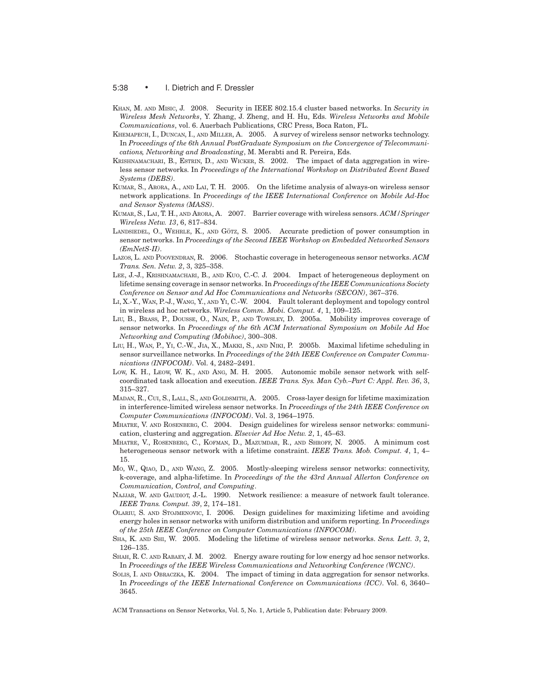#### 5:38 • I. Dietrich and F. Dressler

- KHAN, M. AND MISIC, J. 2008. Security in IEEE 802.15.4 cluster based networks. In *Security in Wireless Mesh Networks*, Y. Zhang, J. Zheng, and H. Hu, Eds. *Wireless Networks and Mobile Communications*, vol. 6. Auerbach Publications, CRC Press, Boca Raton, FL.
- KHEMAPECH, I., DUNCAN, I., AND MILLER, A. 2005. A survey of wireless sensor networks technology. In *Proceedings of the 6th Annual PostGraduate Symposium on the Convergence of Telecommunications, Networking and Broadcasting*, M. Merabti and R. Pereira, Eds.
- KRISHNAMACHARI, B., ESTRIN, D., AND WICKER, S. 2002. The impact of data aggregation in wireless sensor networks. In *Proceedings of the International Workshop on Distributed Event Based Systems (DEBS)*.
- KUMAR, S., ARORA, A., AND LAI, T. H. 2005. On the lifetime analysis of always-on wireless sensor network applications. In *Proceedings of the IEEE International Conference on Mobile Ad-Hoc and Sensor Systems (MASS)*.
- KUMAR, S., LAI, T. H., AND ARORA, A. 2007. Barrier coverage with wireless sensors. *ACM/Springer Wireless Netw. 13*, 6, 817–834.
- LANDSIEDEL, O., WEHRLE, K., AND GÖTZ, S. 2005. Accurate prediction of power consumption in sensor networks. In *Proceedings of the Second IEEE Workshop on Embedded Networked Sensors (EmNetS-II)*.
- LAZOS, L. AND POOVENDRAN, R. 2006. Stochastic coverage in heterogeneous sensor networks. *ACM Trans. Sen. Netw. 2*, 3, 325–358.
- LEE, J.-J., KRISHNAMACHARI, B., AND KUO, C.-C. J. 2004. Impact of heterogeneous deployment on lifetime sensing coverage in sensor networks. In *Proceedings of the IEEE Communications Society Conference on Sensor and Ad Hoc Communications and Networks (SECON)*, 367–376.
- LI, X.-Y., WAN, P.-J., WANG, Y., AND YI, C.-W. 2004. Fault tolerant deployment and topology control in wireless ad hoc networks. *Wireless Comm. Mobi. Comput. 4*, 1, 109–125.
- LIU, B., BRASS, P., DOUSSE, O., NAIN, P., AND TOWSLEY, D. 2005a. Mobility improves coverage of sensor networks. In *Proceedings of the 6th ACM International Symposium on Mobile Ad Hoc Networking and Computing (Mobihoc)*, 300–308.
- LIU, H., WAN, P., YI, C.-W., JIA, X., MAKKI, S., AND NIKI, P. 2005b. Maximal lifetime scheduling in sensor surveillance networks. In *Proceedings of the 24th IEEE Conference on Computer Communications (INFOCOM)*. Vol. 4, 2482–2491.
- LOW, K. H., LEOW, W. K., AND ANG, M. H. 2005. Autonomic mobile sensor network with selfcoordinated task allocation and execution. *IEEE Trans. Sys. Man Cyb.–Part C: Appl. Rev. 36*, 3, 315–327.
- MADAN, R., CUI, S., LALL, S., AND GOLDSMITH, A. 2005. Cross-layer design for lifetime maximization in interference-limited wireless sensor networks. In *Proceedings of the 24th IEEE Conference on Computer Communications (INFOCOM)*. Vol. 3, 1964–1975.
- MHATRE, V. AND ROSENBERG, C. 2004. Design guidelines for wireless sensor networks: communication, clustering and aggregation. *Elsevier Ad Hoc Netw. 2*, 1, 45–63.
- MHATRE, V., ROSENBERG, C., KOFMAN, D., MAZUMDAR, R., AND SHROFF, N. 2005. A minimum cost heterogeneous sensor network with a lifetime constraint. *IEEE Trans. Mob. Comput. 4*, 1, 4– 15.
- MO, W., QIAO, D., AND WANG, Z. 2005. Mostly-sleeping wireless sensor networks: connectivity, k-coverage, and alpha-lifetime. In *Proceedings of the the 43rd Annual Allerton Conference on Communication, Control, and Computing*.
- NAJJAR, W. AND GAUDIOT, J.-L. 1990. Network resilience: a measure of network fault tolerance. *IEEE Trans. Comput. 39*, 2, 174–181.
- OLARIU, S. AND STOJMENOVIC, I. 2006. Design guidelines for maximizing lifetime and avoiding energy holes in sensor networks with uniform distribution and uniform reporting. In *Proceedings of the 25th IEEE Conference on Computer Communications (INFOCOM)*.
- SHA, K. AND SHI, W. 2005. Modeling the lifetime of wireless sensor networks. *Sens. Lett. 3*, 2, 126–135.
- SHAH, R. C. AND RABAEY, J. M. 2002. Energy aware routing for low energy ad hoc sensor networks. In *Proceedings of the IEEE Wireless Communications and Networking Conference (WCNC)*.
- SOLIS, I. AND OBRACZKA, K. 2004. The impact of timing in data aggregation for sensor networks. In *Proceedings of the IEEE International Conference on Communications (ICC)*. Vol. 6, 3640– 3645.